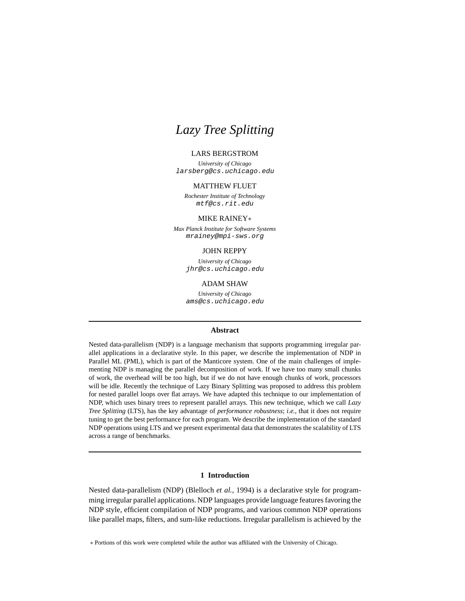#### LARS BERGSTROM

*University of Chicago* larsberg@cs.uchicago.edu

#### MATTHEW FLUET

*Rochester Institute of Technology* mtf@cs.rit.edu

#### MIKE RAINEY∗

*Max Planck Institute for Software Systems* mrainey@mpi-sws.org

#### JOHN REPPY

*University of Chicago* jhr@cs.uchicago.edu

#### ADAM SHAW

*University of Chicago* ams@cs.uchicago.edu

#### **Abstract**

Nested data-parallelism (NDP) is a language mechanism that supports programming irregular parallel applications in a declarative style. In this paper, we describe the implementation of NDP in Parallel ML (PML), which is part of the Manticore system. One of the main challenges of implementing NDP is managing the parallel decomposition of work. If we have too many small chunks of work, the overhead will be too high, but if we do not have enough chunks of work, processors will be idle. Recently the technique of Lazy Binary Splitting was proposed to address this problem for nested parallel loops over flat arrays. We have adapted this technique to our implementation of NDP, which uses binary trees to represent parallel arrays. This new technique, which we call *Lazy Tree Splitting* (LTS), has the key advantage of *performance robustness*; *i.e.*, that it does not require tuning to get the best performance for each program. We describe the implementation of the standard NDP operations using LTS and we present experimental data that demonstrates the scalability of LTS across a range of benchmarks.

# **1 Introduction**

Nested data-parallelism (NDP) (Blelloch *et al.*, 1994) is a declarative style for programming irregular parallel applications. NDP languages provide language features favoring the NDP style, efficient compilation of NDP programs, and various common NDP operations like parallel maps, filters, and sum-like reductions. Irregular parallelism is achieved by the

∗ Portions of this work were completed while the author was affiliated with the University of Chicago.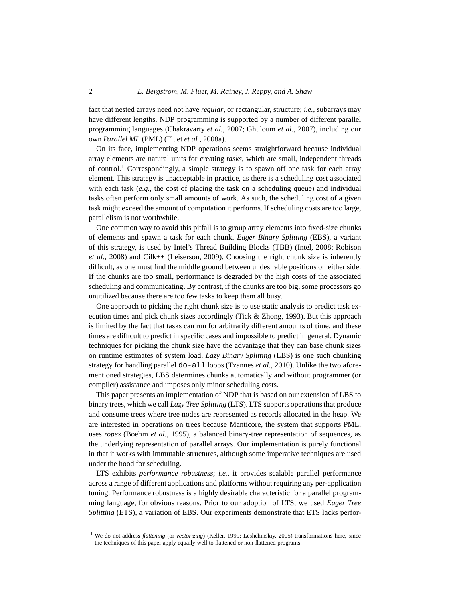fact that nested arrays need not have *regular*, or rectangular, structure; *i.e.*, subarrays may have different lengths. NDP programming is supported by a number of different parallel programming languages (Chakravarty *et al.*, 2007; Ghuloum *et al.*, 2007), including our own *Parallel ML* (PML) (Fluet *et al.*, 2008a).

On its face, implementing NDP operations seems straightforward because individual array elements are natural units for creating *tasks*, which are small, independent threads of control.<sup>1</sup> Correspondingly, a simple strategy is to spawn off one task for each array element. This strategy is unacceptable in practice, as there is a scheduling cost associated with each task  $(e.g., the cost of placing the task on a scheduling queue)$  and individual tasks often perform only small amounts of work. As such, the scheduling cost of a given task might exceed the amount of computation it performs. If scheduling costs are too large, parallelism is not worthwhile.

One common way to avoid this pitfall is to group array elements into fixed-size chunks of elements and spawn a task for each chunk. *Eager Binary Splitting* (EBS), a variant of this strategy, is used by Intel's Thread Building Blocks (TBB) (Intel, 2008; Robison *et al.*, 2008) and Cilk++ (Leiserson, 2009). Choosing the right chunk size is inherently difficult, as one must find the middle ground between undesirable positions on either side. If the chunks are too small, performance is degraded by the high costs of the associated scheduling and communicating. By contrast, if the chunks are too big, some processors go unutilized because there are too few tasks to keep them all busy.

One approach to picking the right chunk size is to use static analysis to predict task execution times and pick chunk sizes accordingly (Tick  $&$  Zhong, 1993). But this approach is limited by the fact that tasks can run for arbitrarily different amounts of time, and these times are difficult to predict in specific cases and impossible to predict in general. Dynamic techniques for picking the chunk size have the advantage that they can base chunk sizes on runtime estimates of system load. *Lazy Binary Splitting* (LBS) is one such chunking strategy for handling parallel do-all loops (Tzannes *et al.*, 2010). Unlike the two aforementioned strategies, LBS determines chunks automatically and without programmer (or compiler) assistance and imposes only minor scheduling costs.

This paper presents an implementation of NDP that is based on our extension of LBS to binary trees, which we call *Lazy Tree Splitting* (LTS). LTS supports operations that produce and consume trees where tree nodes are represented as records allocated in the heap. We are interested in operations on trees because Manticore, the system that supports PML, uses *ropes* (Boehm *et al.*, 1995), a balanced binary-tree representation of sequences, as the underlying representation of parallel arrays. Our implementation is purely functional in that it works with immutable structures, although some imperative techniques are used under the hood for scheduling.

LTS exhibits *performance robustness*; *i.e.*, it provides scalable parallel performance across a range of different applications and platforms without requiring any per-application tuning. Performance robustness is a highly desirable characteristic for a parallel programming language, for obvious reasons. Prior to our adoption of LTS, we used *Eager Tree Splitting* (ETS), a variation of EBS. Our experiments demonstrate that ETS lacks perfor-

<sup>&</sup>lt;sup>1</sup> We do not address *flattening* (or *vectorizing*) (Keller, 1999; Leshchinskiy, 2005) transformations here, since the techniques of this paper apply equally well to flattened or non-flattened programs.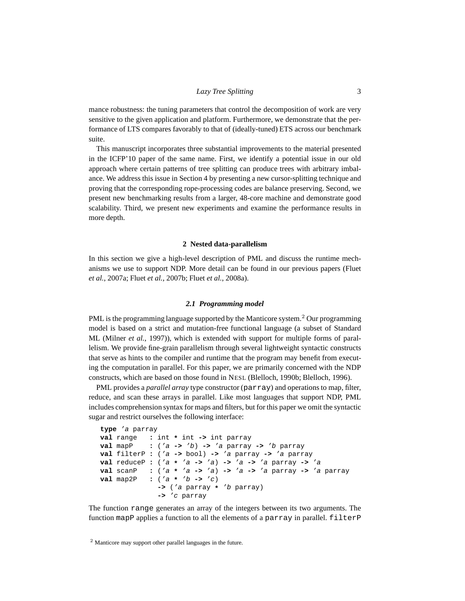mance robustness: the tuning parameters that control the decomposition of work are very sensitive to the given application and platform. Furthermore, we demonstrate that the performance of LTS compares favorably to that of (ideally-tuned) ETS across our benchmark suite.

This manuscript incorporates three substantial improvements to the material presented in the ICFP'10 paper of the same name. First, we identify a potential issue in our old approach where certain patterns of tree splitting can produce trees with arbitrary imbalance. We address this issue in Section 4 by presenting a new cursor-splitting technique and proving that the corresponding rope-processing codes are balance preserving. Second, we present new benchmarking results from a larger, 48-core machine and demonstrate good scalability. Third, we present new experiments and examine the performance results in more depth.

#### **2 Nested data-parallelism**

In this section we give a high-level description of PML and discuss the runtime mechanisms we use to support NDP. More detail can be found in our previous papers (Fluet *et al.*, 2007a; Fluet *et al.*, 2007b; Fluet *et al.*, 2008a).

### *2.1 Programming model*

PML is the programming language supported by the Manticore system.<sup>2</sup> Our programming model is based on a strict and mutation-free functional language (a subset of Standard ML (Milner *et al.*, 1997)), which is extended with support for multiple forms of parallelism. We provide fine-grain parallelism through several lightweight syntactic constructs that serve as hints to the compiler and runtime that the program may benefit from executing the computation in parallel. For this paper, we are primarily concerned with the NDP constructs, which are based on those found in NESL (Blelloch, 1990b; Blelloch, 1996).

PML provides a *parallel array* type constructor (parray) and operations to map, filter, reduce, and scan these arrays in parallel. Like most languages that support NDP, PML includes comprehension syntax for maps and filters, but for this paper we omit the syntactic sugar and restrict ourselves the following interface:

```
type 'a parray
val range : int * int -> int parray
val mapP : ('a -> 'b) -> 'a parray -> 'b parray
val filterP : ('a -> bool) -> 'a parray -> 'a parray
val reduceP : ('a * 'a -> 'a) -> 'a -> 'a parray -> 'a
val scanP : ('a * 'a -> 'a) -> 'a -> 'a parray -> 'a parray
            val map2P : ('a * 'b -> 'c)
              -> ('a parray * 'b parray)
              -> 'c parray
```
The function range generates an array of the integers between its two arguments. The function mapP applies a function to all the elements of a parray in parallel. filterP

<sup>2</sup> Manticore may support other parallel languages in the future.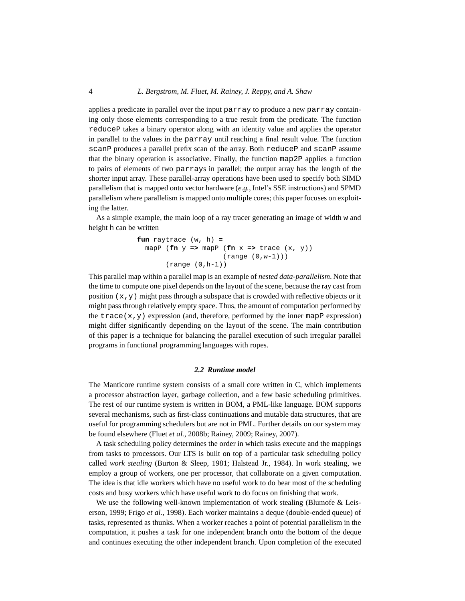applies a predicate in parallel over the input parray to produce a new parray containing only those elements corresponding to a true result from the predicate. The function reduceP takes a binary operator along with an identity value and applies the operator in parallel to the values in the parray until reaching a final result value. The function scanP produces a parallel prefix scan of the array. Both reduceP and scanP assume that the binary operation is associative. Finally, the function map2P applies a function to pairs of elements of two parrays in parallel; the output array has the length of the shorter input array. These parallel-array operations have been used to specify both SIMD parallelism that is mapped onto vector hardware (*e.g.*, Intel's SSE instructions) and SPMD parallelism where parallelism is mapped onto multiple cores; this paper focuses on exploiting the latter.

As a simple example, the main loop of a ray tracer generating an image of width w and height h can be written

```
fun raytrace (w, h) =
  mapP (\mathbf{fn} y \Rightarrow mapP (\mathbf{fn} x \Rightarrow trace (x, y))
                             (range (0,w-1)))
          (range (0,h-1))
```
This parallel map within a parallel map is an example of *nested data-parallelism*. Note that the time to compute one pixel depends on the layout of the scene, because the ray cast from position  $(x, y)$  might pass through a subspace that is crowded with reflective objects or it might pass through relatively empty space. Thus, the amount of computation performed by the trace(x,y) expression (and, therefore, performed by the inner mapP expression) might differ significantly depending on the layout of the scene. The main contribution of this paper is a technique for balancing the parallel execution of such irregular parallel programs in functional programming languages with ropes.

#### *2.2 Runtime model*

The Manticore runtime system consists of a small core written in C, which implements a processor abstraction layer, garbage collection, and a few basic scheduling primitives. The rest of our runtime system is written in BOM, a PML-like language. BOM supports several mechanisms, such as first-class continuations and mutable data structures, that are useful for programming schedulers but are not in PML. Further details on our system may be found elsewhere (Fluet *et al.*, 2008b; Rainey, 2009; Rainey, 2007).

A task scheduling policy determines the order in which tasks execute and the mappings from tasks to processors. Our LTS is built on top of a particular task scheduling policy called *work stealing* (Burton & Sleep, 1981; Halstead Jr., 1984). In work stealing, we employ a group of workers, one per processor, that collaborate on a given computation. The idea is that idle workers which have no useful work to do bear most of the scheduling costs and busy workers which have useful work to do focus on finishing that work.

We use the following well-known implementation of work stealing (Blumofe & Leiserson, 1999; Frigo *et al.*, 1998). Each worker maintains a deque (double-ended queue) of tasks, represented as thunks. When a worker reaches a point of potential parallelism in the computation, it pushes a task for one independent branch onto the bottom of the deque and continues executing the other independent branch. Upon completion of the executed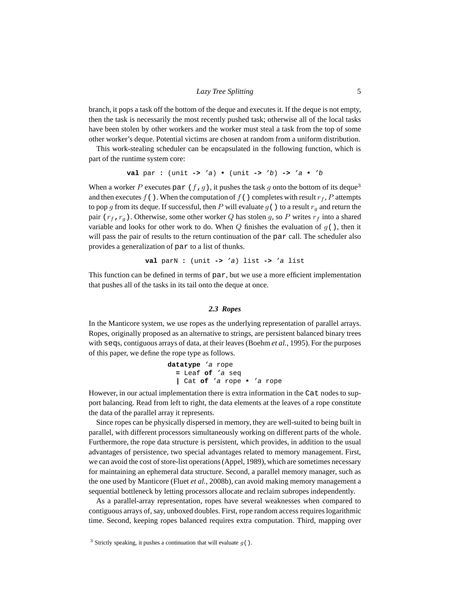branch, it pops a task off the bottom of the deque and executes it. If the deque is not empty, then the task is necessarily the most recently pushed task; otherwise all of the local tasks have been stolen by other workers and the worker must steal a task from the top of some other worker's deque. Potential victims are chosen at random from a uniform distribution.

This work-stealing scheduler can be encapsulated in the following function, which is part of the runtime system core:

**val** par **:** (unit **->** 'a) **\*** (unit **->** 'b) **->** 'a **\*** 'b

When a worker P executes par  $(f, g)$ , it pushes the task g onto the bottom of its deque<sup>3</sup> and then executes f(). When the computation of f() completes with result  $r_f$ , P attempts to pop g from its deque. If successful, then P will evaluate  $g(\cdot)$  to a result  $r_g$  and return the pair  $(r_f, r_q)$ . Otherwise, some other worker Q has stolen g, so P writes  $r_f$  into a shared variable and looks for other work to do. When Q finishes the evaluation of  $q()$ , then it will pass the pair of results to the return continuation of the par call. The scheduler also provides a generalization of par to a list of thunks.

**val** parN **:** (unit **->** 'a) list **->** 'a list

This function can be defined in terms of par, but we use a more efficient implementation that pushes all of the tasks in its tail onto the deque at once.

# *2.3 Ropes*

In the Manticore system, we use ropes as the underlying representation of parallel arrays. Ropes, originally proposed as an alternative to strings, are persistent balanced binary trees with seqs, contiguous arrays of data, at their leaves (Boehm *et al.*, 1995). For the purposes of this paper, we define the rope type as follows.

**datatype** 'a rope **=** Leaf **of** 'a seq **|** Cat **of** 'a rope **\*** 'a rope

However, in our actual implementation there is extra information in the Cat nodes to support balancing. Read from left to right, the data elements at the leaves of a rope constitute the data of the parallel array it represents.

Since ropes can be physically dispersed in memory, they are well-suited to being built in parallel, with different processors simultaneously working on different parts of the whole. Furthermore, the rope data structure is persistent, which provides, in addition to the usual advantages of persistence, two special advantages related to memory management. First, we can avoid the cost of store-list operations (Appel, 1989), which are sometimes necessary for maintaining an ephemeral data structure. Second, a parallel memory manager, such as the one used by Manticore (Fluet *et al.*, 2008b), can avoid making memory management a sequential bottleneck by letting processors allocate and reclaim subropes independently.

As a parallel-array representation, ropes have several weaknesses when compared to contiguous arrays of, say, unboxed doubles. First, rope random access requires logarithmic time. Second, keeping ropes balanced requires extra computation. Third, mapping over

<sup>&</sup>lt;sup>3</sup> Strictly speaking, it pushes a continuation that will evaluate  $g( )$ .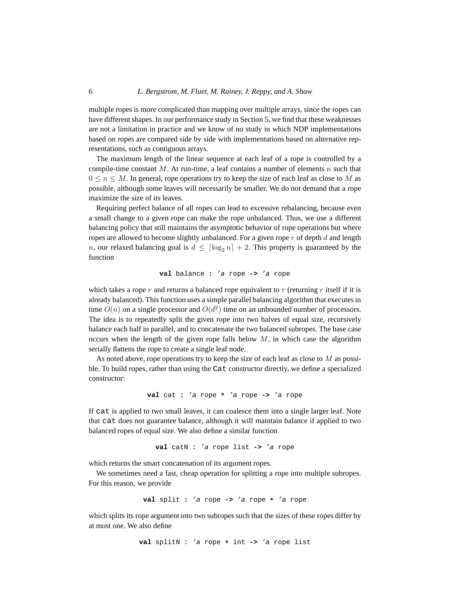multiple ropes is more complicated than mapping over multiple arrays, since the ropes can have different shapes. In our performance study in Section 5, we find that these weaknesses are not a limitation in practice and we know of no study in which NDP implementations based on ropes are compared side by side with implementations based on alternative representations, such as contiguous arrays.

The maximum length of the linear sequence at each leaf of a rope is controlled by a compile-time constant M. At run-time, a leaf contains a number of elements  $n$  such that  $0 \le n \le M$ . In general, rope operations try to keep the size of each leaf as close to M as possible, although some leaves will necessarily be smaller. We do not demand that a rope maximize the size of its leaves.

Requiring perfect balance of all ropes can lead to excessive rebalancing, because even a small change to a given rope can make the rope unbalanced. Thus, we use a different balancing policy that still maintains the asymptotic behavior of rope operations but where ropes are allowed to become slightly unbalanced. For a given rope  $r$  of depth  $d$  and length n, our relaxed balancing goal is  $d \leq \lceil \log_2 n \rceil + 2$ . This property is guaranteed by the function

**val** balance **:** 'a rope **->** 'a rope

which takes a rope r and returns a balanced rope equivalent to r (returning r itself if it is already balanced). This function uses a simple parallel balancing algorithm that executes in time  $O(n)$  on a single processor and  $O(d^2)$  time on an unbounded number of processors. The idea is to repeatedly split the given rope into two halves of equal size, recursively balance each half in parallel, and to concatenate the two balanced subropes. The base case occurs when the length of the given rope falls below  $M$ , in which case the algorithm serially flattens the rope to create a single leaf node.

As noted above, rope operations try to keep the size of each leaf as close to  $M$  as possible. To build ropes, rather than using the Cat constructor directly, we define a specialized constructor:

**val** cat **:** 'a rope **\*** 'a rope **->** 'a rope

If cat is applied to two small leaves, it can coalesce them into a single larger leaf. Note that cat does not guarantee balance, although it will maintain balance if applied to two balanced ropes of equal size. We also define a similar function

**val** catN **:** 'a rope list **->** 'a rope

which returns the smart concatenation of its argument ropes.

We sometimes need a fast, cheap operation for splitting a rope into multiple subropes. For this reason, we provide

$$
val split : 'a rope -> 'a rope * 'a rope
$$

which splits its rope argument into two subropes such that the sizes of these ropes differ by at most one. We also define

**val** splitN **:** 'a rope **\*** int **->** 'a rope list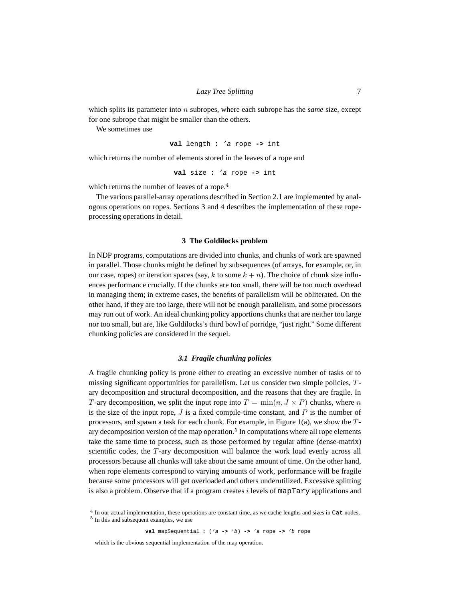which splits its parameter into n subropes, where each subrope has the *same* size, except for one subrope that might be smaller than the others.

We sometimes use

**val** length **:** 'a rope **->** int

which returns the number of elements stored in the leaves of a rope and

**val** size **:** 'a rope **->** int

which returns the number of leaves of a rope.<sup>4</sup>

The various parallel-array operations described in Section 2.1 are implemented by analogous operations on ropes. Sections 3 and 4 describes the implementation of these ropeprocessing operations in detail.

#### **3 The Goldilocks problem**

In NDP programs, computations are divided into chunks, and chunks of work are spawned in parallel. Those chunks might be defined by subsequences (of arrays, for example, or, in our case, ropes) or iteration spaces (say, k to some  $k + n$ ). The choice of chunk size influences performance crucially. If the chunks are too small, there will be too much overhead in managing them; in extreme cases, the benefits of parallelism will be obliterated. On the other hand, if they are too large, there will not be enough parallelism, and some processors may run out of work. An ideal chunking policy apportions chunks that are neither too large nor too small, but are, like Goldilocks's third bowl of porridge, "just right." Some different chunking policies are considered in the sequel.

#### *3.1 Fragile chunking policies*

A fragile chunking policy is prone either to creating an excessive number of tasks or to missing significant opportunities for parallelism. Let us consider two simple policies, T ary decomposition and structural decomposition, and the reasons that they are fragile. In T-ary decomposition, we split the input rope into  $T = \min(n, J \times P)$  chunks, where n is the size of the input rope,  $J$  is a fixed compile-time constant, and  $P$  is the number of processors, and spawn a task for each chunk. For example, in Figure 1(a), we show the  $T$ ary decomposition version of the map operation.<sup>5</sup> In computations where all rope elements take the same time to process, such as those performed by regular affine (dense-matrix) scientific codes, the T-ary decomposition will balance the work load evenly across all processors because all chunks will take about the same amount of time. On the other hand, when rope elements correspond to varying amounts of work, performance will be fragile because some processors will get overloaded and others underutilized. Excessive splitting is also a problem. Observe that if a program creates  $i$  levels of mapTary applications and

<sup>4</sup> In our actual implementation, these operations are constant time, as we cache lengths and sizes in Cat nodes.

<sup>5</sup> In this and subsequent examples, we use

**val** mapSequential **:** ('a **->** 'b) **->** 'a rope **->** 'b rope

which is the obvious sequential implementation of the map operation.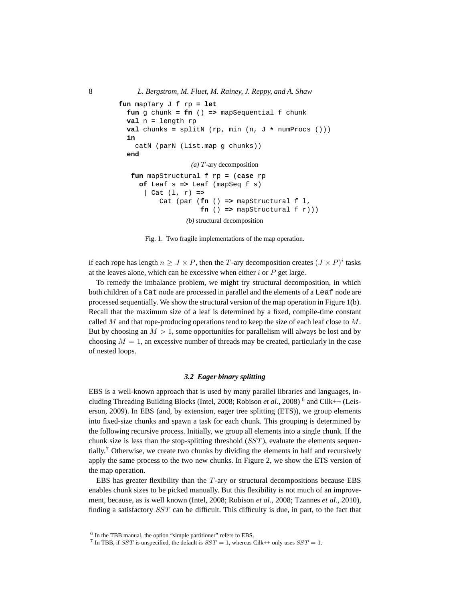```
fun mapTary J f rp = let
  fun g chunk = fn () => mapSequential f chunk
  val n = length rp
  val chunks = splitN (rp, min (n, J * numProcs ()))
  in
    catN (parN (List.map g chunks))
  end
                  (a) T -ary decomposition
   fun mapStructural f rp = (case rp
     of Leaf s => Leaf (mapSeq f s)
      | Cat (l, r) =>
          Cat (par (fn () => mapStructural f l,
                     fn () => mapStructural f(r))
                 (b) structural decomposition
```
Fig. 1. Two fragile implementations of the map operation.

if each rope has length  $n \geq J \times P$ , then the T-ary decomposition creates  $(J \times P)^i$  tasks at the leaves alone, which can be excessive when either  $i$  or  $P$  get large.

To remedy the imbalance problem, we might try structural decomposition, in which both children of a Cat node are processed in parallel and the elements of a Leaf node are processed sequentially. We show the structural version of the map operation in Figure 1(b). Recall that the maximum size of a leaf is determined by a fixed, compile-time constant called  $M$  and that rope-producing operations tend to keep the size of each leaf close to  $M$ . But by choosing an  $M > 1$ , some opportunities for parallelism will always be lost and by choosing  $M = 1$ , an excessive number of threads may be created, particularly in the case of nested loops.

#### *3.2 Eager binary splitting*

EBS is a well-known approach that is used by many parallel libraries and languages, including Threading Building Blocks (Intel, 2008; Robison *et al.*, 2008)<sup>6</sup> and Cilk++ (Leiserson, 2009). In EBS (and, by extension, eager tree splitting (ETS)), we group elements into fixed-size chunks and spawn a task for each chunk. This grouping is determined by the following recursive process. Initially, we group all elements into a single chunk. If the chunk size is less than the stop-splitting threshold  $(SST)$ , evaluate the elements sequentially.<sup>7</sup> Otherwise, we create two chunks by dividing the elements in half and recursively apply the same process to the two new chunks. In Figure 2, we show the ETS version of the map operation.

EBS has greater flexibility than the  $T$ -ary or structural decompositions because EBS enables chunk sizes to be picked manually. But this flexibility is not much of an improvement, because, as is well known (Intel, 2008; Robison *et al.*, 2008; Tzannes *et al.*, 2010), finding a satisfactory SST can be difficult. This difficulty is due, in part, to the fact that

<sup>6</sup> In the TBB manual, the option "simple partitioner" refers to EBS.

<sup>&</sup>lt;sup>7</sup> In TBB, if *SST* is unspecified, the default is *SST* = 1, whereas Cilk++ only uses *SST* = 1.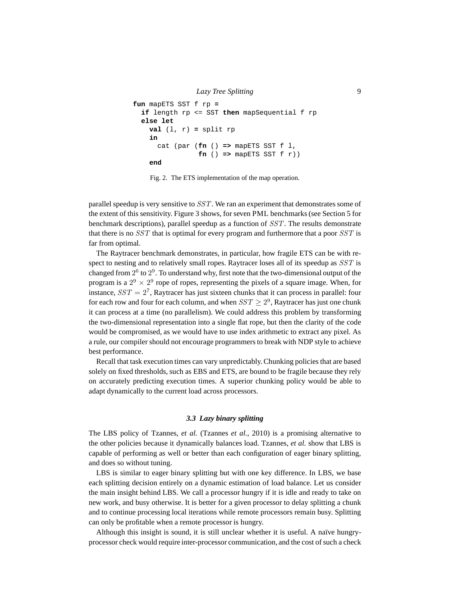```
Lazy Tree Splitting 9
fun mapETS SST f rp =
 if length rp <= SST then mapSequential f rp
 else let
   val (1, r) = split rpin
     cat (par (fn () => mapETS SST f l,
              fn () => mapETS SST f(r))
   end
```
Fig. 2. The ETS implementation of the map operation.

parallel speedup is very sensitive to SST. We ran an experiment that demonstrates some of the extent of this sensitivity. Figure 3 shows, for seven PML benchmarks (see Section 5 for benchmark descriptions), parallel speedup as a function of SST. The results demonstrate that there is no SST that is optimal for every program and furthermore that a poor SST is far from optimal.

The Raytracer benchmark demonstrates, in particular, how fragile ETS can be with respect to nesting and to relatively small ropes. Raytracer loses all of its speedup as SST is changed from  $2^6$  to  $2^9$ . To understand why, first note that the two-dimensional output of the program is a  $2^9 \times 2^9$  rope of ropes, representing the pixels of a square image. When, for instance,  $SST = 2^7$ , Raytracer has just sixteen chunks that it can process in parallel: four for each row and four for each column, and when  $SST \geq 2^9$ , Raytracer has just one chunk it can process at a time (no parallelism). We could address this problem by transforming the two-dimensional representation into a single flat rope, but then the clarity of the code would be compromised, as we would have to use index arithmetic to extract any pixel. As a rule, our compiler should not encourage programmers to break with NDP style to achieve best performance.

Recall that task execution times can vary unpredictably. Chunking policies that are based solely on fixed thresholds, such as EBS and ETS, are bound to be fragile because they rely on accurately predicting execution times. A superior chunking policy would be able to adapt dynamically to the current load across processors.

# *3.3 Lazy binary splitting*

The LBS policy of Tzannes, *et al.* (Tzannes *et al.*, 2010) is a promising alternative to the other policies because it dynamically balances load. Tzannes, *et al.* show that LBS is capable of performing as well or better than each configuration of eager binary splitting, and does so without tuning.

LBS is similar to eager binary splitting but with one key difference. In LBS, we base each splitting decision entirely on a dynamic estimation of load balance. Let us consider the main insight behind LBS. We call a processor hungry if it is idle and ready to take on new work, and busy otherwise. It is better for a given processor to delay splitting a chunk and to continue processing local iterations while remote processors remain busy. Splitting can only be profitable when a remote processor is hungry.

Although this insight is sound, it is still unclear whether it is useful. A naïve hungryprocessor check would require inter-processor communication, and the cost of such a check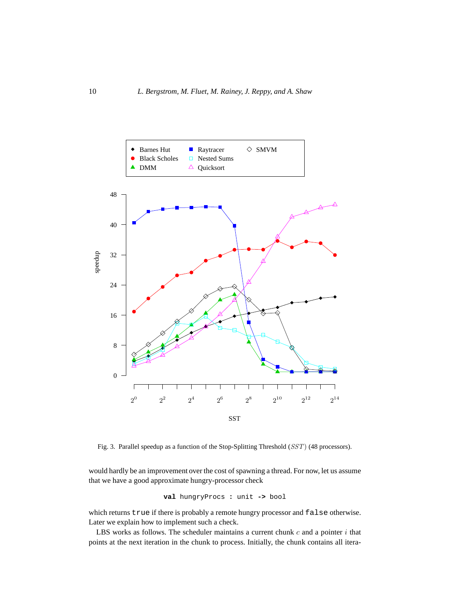

Fig. 3. Parallel speedup as a function of the Stop-Splitting Threshold (SST) (48 processors).

would hardly be an improvement over the cost of spawning a thread. For now, let us assume that we have a good approximate hungry-processor check

**val** hungryProcs **:** unit **->** bool

which returns true if there is probably a remote hungry processor and false otherwise. Later we explain how to implement such a check.

LBS works as follows. The scheduler maintains a current chunk  $c$  and a pointer  $i$  that points at the next iteration in the chunk to process. Initially, the chunk contains all itera-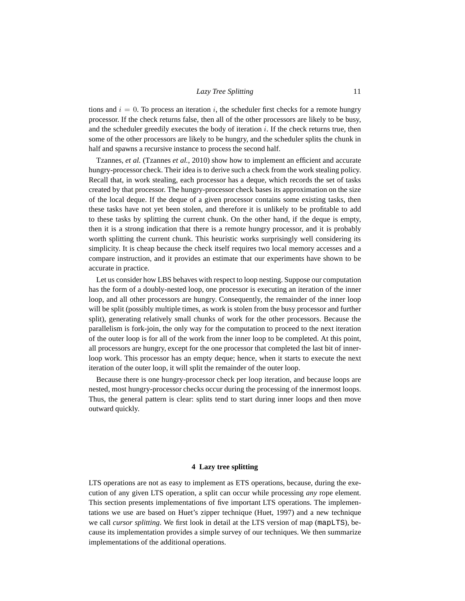tions and  $i = 0$ . To process an iteration i, the scheduler first checks for a remote hungry processor. If the check returns false, then all of the other processors are likely to be busy, and the scheduler greedily executes the body of iteration i. If the check returns true, then some of the other processors are likely to be hungry, and the scheduler splits the chunk in half and spawns a recursive instance to process the second half.

Tzannes, *et al.* (Tzannes *et al.*, 2010) show how to implement an efficient and accurate hungry-processor check. Their idea is to derive such a check from the work stealing policy. Recall that, in work stealing, each processor has a deque, which records the set of tasks created by that processor. The hungry-processor check bases its approximation on the size of the local deque. If the deque of a given processor contains some existing tasks, then these tasks have not yet been stolen, and therefore it is unlikely to be profitable to add to these tasks by splitting the current chunk. On the other hand, if the deque is empty, then it is a strong indication that there is a remote hungry processor, and it is probably worth splitting the current chunk. This heuristic works surprisingly well considering its simplicity. It is cheap because the check itself requires two local memory accesses and a compare instruction, and it provides an estimate that our experiments have shown to be accurate in practice.

Let us consider how LBS behaves with respect to loop nesting. Suppose our computation has the form of a doubly-nested loop, one processor is executing an iteration of the inner loop, and all other processors are hungry. Consequently, the remainder of the inner loop will be split (possibly multiple times, as work is stolen from the busy processor and further split), generating relatively small chunks of work for the other processors. Because the parallelism is fork-join, the only way for the computation to proceed to the next iteration of the outer loop is for all of the work from the inner loop to be completed. At this point, all processors are hungry, except for the one processor that completed the last bit of innerloop work. This processor has an empty deque; hence, when it starts to execute the next iteration of the outer loop, it will split the remainder of the outer loop.

Because there is one hungry-processor check per loop iteration, and because loops are nested, most hungry-processor checks occur during the processing of the innermost loops. Thus, the general pattern is clear: splits tend to start during inner loops and then move outward quickly.

# **4 Lazy tree splitting**

LTS operations are not as easy to implement as ETS operations, because, during the execution of any given LTS operation, a split can occur while processing *any* rope element. This section presents implementations of five important LTS operations. The implementations we use are based on Huet's zipper technique (Huet, 1997) and a new technique we call *cursor splitting*. We first look in detail at the LTS version of map (mapLTS), because its implementation provides a simple survey of our techniques. We then summarize implementations of the additional operations.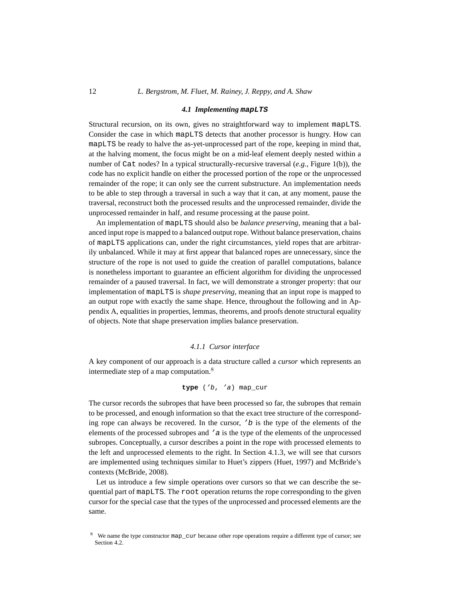# 12 *L. Bergstrom, M. Fluet, M. Rainey, J. Reppy, and A. Shaw*

#### *4.1 Implementing* **mapLTS**

Structural recursion, on its own, gives no straightforward way to implement mapLTS. Consider the case in which mapLTS detects that another processor is hungry. How can mapLTS be ready to halve the as-yet-unprocessed part of the rope, keeping in mind that, at the halving moment, the focus might be on a mid-leaf element deeply nested within a number of Cat nodes? In a typical structurally-recursive traversal (*e.g.*, Figure 1(b)), the code has no explicit handle on either the processed portion of the rope or the unprocessed remainder of the rope; it can only see the current substructure. An implementation needs to be able to step through a traversal in such a way that it can, at any moment, pause the traversal, reconstruct both the processed results and the unprocessed remainder, divide the unprocessed remainder in half, and resume processing at the pause point.

An implementation of mapLTS should also be *balance preserving*, meaning that a balanced input rope is mapped to a balanced output rope. Without balance preservation, chains of mapLTS applications can, under the right circumstances, yield ropes that are arbitrarily unbalanced. While it may at first appear that balanced ropes are unnecessary, since the structure of the rope is not used to guide the creation of parallel computations, balance is nonetheless important to guarantee an efficient algorithm for dividing the unprocessed remainder of a paused traversal. In fact, we will demonstrate a stronger property: that our implementation of mapLTS is *shape preserving*, meaning that an input rope is mapped to an output rope with exactly the same shape. Hence, throughout the following and in Appendix A, equalities in properties, lemmas, theorems, and proofs denote structural equality of objects. Note that shape preservation implies balance preservation.

# *4.1.1 Cursor interface*

A key component of our approach is a data structure called a *cursor* which represents an intermediate step of a map computation.<sup>8</sup>

# **type** ('b, 'a) map\_cur

The cursor records the subropes that have been processed so far, the subropes that remain to be processed, and enough information so that the exact tree structure of the corresponding rope can always be recovered. In the cursor,  $\prime$  b is the type of the elements of the elements of the processed subropes and 'a is the type of the elements of the unprocessed subropes. Conceptually, a cursor describes a point in the rope with processed elements to the left and unprocessed elements to the right. In Section 4.1.3, we will see that cursors are implemented using techniques similar to Huet's zippers (Huet, 1997) and McBride's contexts (McBride, 2008).

Let us introduce a few simple operations over cursors so that we can describe the sequential part of mapLTS. The root operation returns the rope corresponding to the given cursor for the special case that the types of the unprocessed and processed elements are the same.

<sup>8</sup> We name the type constructor map\_cur because other rope operations require a different type of cursor; see Section 4.2.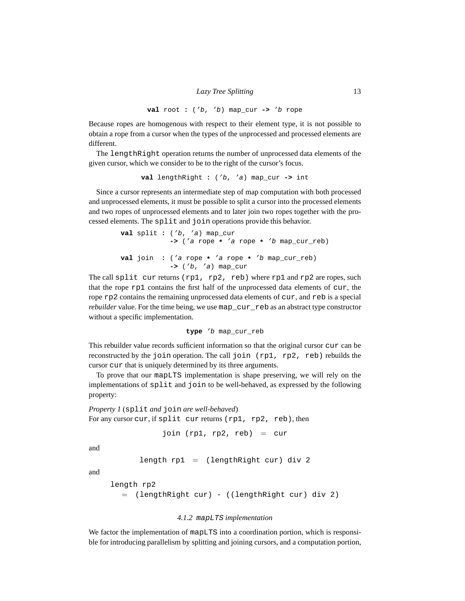**val** root **:** ('b, 'b) map\_cur **->** 'b rope

Because ropes are homogenous with respect to their element type, it is not possible to obtain a rope from a cursor when the types of the unprocessed and processed elements are different.

The lengthRight operation returns the number of unprocessed data elements of the given cursor, which we consider to be to the right of the cursor's focus.

**val** lengthRight **:** ('b, 'a) map\_cur **->** int

Since a cursor represents an intermediate step of map computation with both processed and unprocessed elements, it must be possible to split a cursor into the processed elements and two ropes of unprocessed elements and to later join two ropes together with the processed elements. The split and join operations provide this behavior.

```
val split : ('b, 'a) map_cur
            -> ('a rope * 'a rope * 'b map_cur_reb)
val join : ('a rope * 'a rope * 'b map_cur_reb)
            -> ('b, 'a) map_cur
```
The call split cur returns (rp1, rp2, reb) where rp1 and rp2 are ropes, such that the rope rp1 contains the first half of the unprocessed data elements of cur, the rope rp2 contains the remaining unprocessed data elements of cur, and reb is a special *rebuilder* value. For the time being, we use map\_cur\_reb as an abstract type constructor without a specific implementation.

**type** 'b map\_cur\_reb

This rebuilder value records sufficient information so that the original cursor cur can be reconstructed by the join operation. The call join (rp1, rp2, reb) rebuilds the cursor cur that is uniquely determined by its three arguments.

To prove that our mapLTS implementation is shape preserving, we will rely on the implementations of split and join to be well-behaved, as expressed by the following property:

```
Property 1 (split and join are well-behaved)
For any cursor cur, if split cur returns (rp1, rp2, reb), then
```
join  $(rp1, rp2, reb) = cur$ 

and

```
length rp1 = (lengthRight cur) div 2
```
and

```
length rp2
  = (lengthRight cur) - ((lengthRight cur) div 2)
```
# *4.1.2* mapLTS *implementation*

We factor the implementation of mapLTS into a coordination portion, which is responsible for introducing parallelism by splitting and joining cursors, and a computation portion,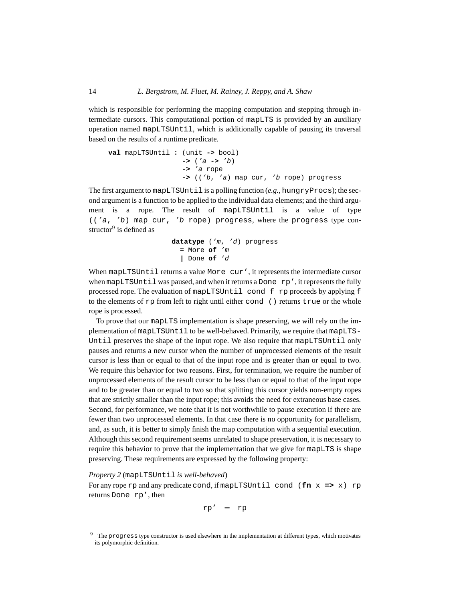which is responsible for performing the mapping computation and stepping through intermediate cursors. This computational portion of mapLTS is provided by an auxiliary operation named mapLTSUntil, which is additionally capable of pausing its traversal based on the results of a runtime predicate.

```
val mapLTSUntil : (unit -> bool)
                  -> ('a -> 'b)
                  -> 'a rope
                  -> (('b, 'a) map_cur, 'b rope) progress
```
The first argument to mapLTSUntil is a polling function (*e.g.*, hungryProcs); the second argument is a function to be applied to the individual data elements; and the third argument is a rope. The result of mapLTSUntil is a value of type (('a, 'b) map\_cur, 'b rope) progress, where the progress type constructor<sup>9</sup> is defined as

```
datatype ('m, 'd) progress
  = More of 'm
  | Done of 'd
```
When mapLTSUntil returns a value More cur', it represents the intermediate cursor when mapLTSUntil was paused, and when it returns a Done  $rp'$ , it represents the fully processed rope. The evaluation of mapLTSUntil cond f rp proceeds by applying f to the elements of  $rp$  from left to right until either cond () returns true or the whole rope is processed.

To prove that our mapLTS implementation is shape preserving, we will rely on the implementation of mapLTSUntil to be well-behaved. Primarily, we require that mapLTS-Until preserves the shape of the input rope. We also require that mapLTSUntil only pauses and returns a new cursor when the number of unprocessed elements of the result cursor is less than or equal to that of the input rope and is greater than or equal to two. We require this behavior for two reasons. First, for termination, we require the number of unprocessed elements of the result cursor to be less than or equal to that of the input rope and to be greater than or equal to two so that splitting this cursor yields non-empty ropes that are strictly smaller than the input rope; this avoids the need for extraneous base cases. Second, for performance, we note that it is not worthwhile to pause execution if there are fewer than two unprocessed elements. In that case there is no opportunity for parallelism, and, as such, it is better to simply finish the map computation with a sequential execution. Although this second requirement seems unrelated to shape preservation, it is necessary to require this behavior to prove that the implementation that we give for mapLTS is shape preserving. These requirements are expressed by the following property:

# *Property 2* (mapLTSUntil *is well-behaved*)

For any rope rp and any predicate cond, if mapLTSUntil cond  $(\textbf{fn} \times \textbf{=} > x)$  rp returns Done rp', then

$$
rp' = rp
$$

<sup>&</sup>lt;sup>9</sup> The progress type constructor is used elsewhere in the implementation at different types, which motivates its polymorphic definition.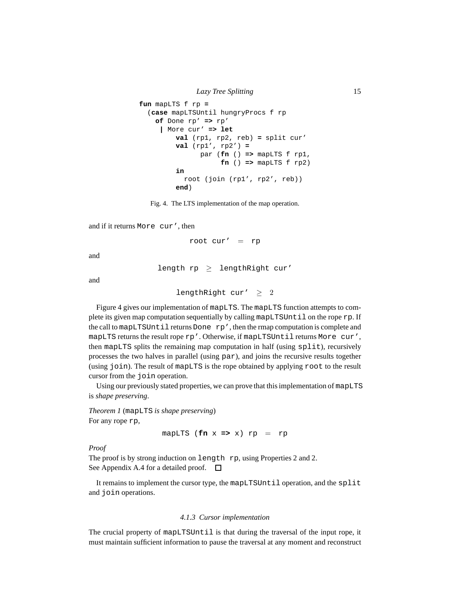```
fun mapLTS f rp =
  (case mapLTSUntil hungryProcs f rp
    of Done rp' => rp'
     | More cur' => let
         val (rp1, rp2, reb) = split cur'
         val (rp1', rp2') =
               par (fn () => mapLTS f rp1,
                    fn () => mapLTS f rp2)
         in
           root (join (rp1', rp2', reb))
         end)
```
Fig. 4. The LTS implementation of the map operation.

and if it returns More cur', then

root cur' =  $rp$ 

and

length  $rp \geq$  lengthRight cur'

and

```
lengthRight cur' > 2
```
Figure 4 gives our implementation of mapLTS. The mapLTS function attempts to complete its given map computation sequentially by calling mapLTSUntil on the rope rp. If the call to mapLTSUntil returns Done rp', then the rmap computation is complete and mapLTS returns the result rope rp'. Otherwise, if mapLTSUntil returns More cur', then mapLTS splits the remaining map computation in half (using split), recursively processes the two halves in parallel (using par), and joins the recursive results together (using join). The result of mapLTS is the rope obtained by applying root to the result cursor from the join operation.

Using our previously stated properties, we can prove that this implementation of mapLTS is *shape preserving*.

*Theorem 1* (mapLTS *is shape preserving*) For any rope rp,

 $mapLTS$  ( $fn$  x => x)  $rp = rp$ 

*Proof*

The proof is by strong induction on length rp, using Properties 2 and 2. See Appendix A.4 for a detailed proof.  $\Box$ 

It remains to implement the cursor type, the mapLTSUntil operation, and the split and join operations.

# *4.1.3 Cursor implementation*

The crucial property of mapLTSUntil is that during the traversal of the input rope, it must maintain sufficient information to pause the traversal at any moment and reconstruct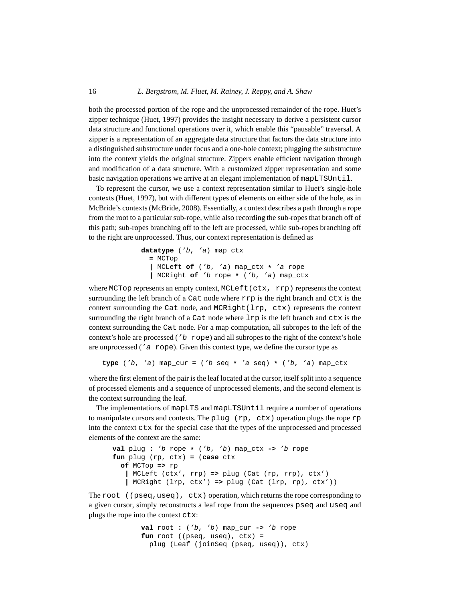both the processed portion of the rope and the unprocessed remainder of the rope. Huet's zipper technique (Huet, 1997) provides the insight necessary to derive a persistent cursor data structure and functional operations over it, which enable this "pausable" traversal. A zipper is a representation of an aggregate data structure that factors the data structure into a distinguished substructure under focus and a one-hole context; plugging the substructure into the context yields the original structure. Zippers enable efficient navigation through and modification of a data structure. With a customized zipper representation and some basic navigation operations we arrive at an elegant implementation of mapLTSUntil.

To represent the cursor, we use a context representation similar to Huet's single-hole contexts (Huet, 1997), but with different types of elements on either side of the hole, as in McBride's contexts (McBride, 2008). Essentially, a context describes a path through a rope from the root to a particular sub-rope, while also recording the sub-ropes that branch off of this path; sub-ropes branching off to the left are processed, while sub-ropes branching off to the right are unprocessed. Thus, our context representation is defined as

```
datatype ('b, 'a) map_ctx
 = MCTop
  | MCLeft of ('b, 'a) map_ctx * 'a rope
  | MCRight of 'b rope * ('b, 'a) map_ctx
```
where MCTop represents an empty context, MCLeft(ctx, rrp) represents the context surrounding the left branch of a Cat node where  $rrp$  is the right branch and  $ctx$  is the context surrounding the Cat node, and MCRight(lrp, ctx) represents the context surrounding the right branch of a Cat node where lrp is the left branch and ctx is the context surrounding the Cat node. For a map computation, all subropes to the left of the context's hole are processed ( $b$  rope) and all subropes to the right of the context's hole are unprocessed ( $'a$  rope). Given this context type, we define the cursor type as

**type** ('b, 'a) map\_cur **=** ('b seq **\*** 'a seq) **\*** ('b, 'a) map\_ctx

where the first element of the pair is the leaf located at the cursor, itself split into a sequence of processed elements and a sequence of unprocessed elements, and the second element is the context surrounding the leaf.

The implementations of mapLTS and mapLTSUntil require a number of operations to manipulate cursors and contexts. The plug (rp,  $ctx$ ) operation plugs the rope rp into the context ctx for the special case that the types of the unprocessed and processed elements of the context are the same:

```
val plug : 'b rope * ('b, 'b) map_ctx -> 'b rope
fun plug (rp, ctx) = (case ctx
  of MCTop => rp
   | MCLeft (ctx', rrp) => plug (Cat (rp, rrp), ctx')
   | MCRight (lrp, ctx') => plug (Cat (lrp, rp), ctx'))
```
The root  $((pseq,useq), ctx)$  operation, which returns the rope corresponding to a given cursor, simply reconstructs a leaf rope from the sequences pseq and useq and plugs the rope into the context ctx:

```
val root : ('b, 'b) map_cur -> 'b rope
fun root ((pseq, useq), ctx) =
 plug (Leaf (joinSeq (pseq, useq)), ctx)
```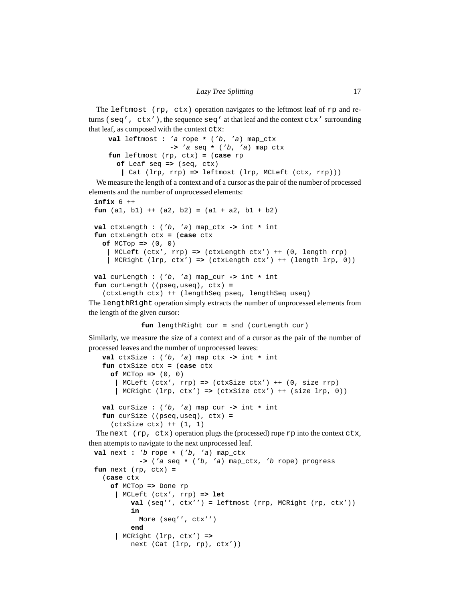The leftmost (rp, ctx) operation navigates to the leftmost leaf of rp and returns (seq',  $ctx'$ ), the sequence seq' at that leaf and the context  $ctx'$  surrounding that leaf, as composed with the context ctx:

```
val leftmost : 'a rope * ('b, 'a) map_ctx
               -> 'a seq * ('b, 'a) map_ctx
fun leftmost (rp, ctx) = (case rp
 of Leaf seq => (seq, ctx)
   | Cat (lrp, rrp) => leftmost (lrp, MCLeft (ctx, rrp)))
```
We measure the length of a context and of a cursor as the pair of the number of processed elements and the number of unprocessed elements:

```
infix 6 ++
fun (a1, b1) ++ (a2, b2) = (a1 + a2, b1 + b2)
val ctxLength : ('b, 'a) map_ctx -> int * int
fun ctxLength ctx = (case ctx
  of MCTop => (0, 0)
   | MCLeft (ctx', rrp) => (ctxLength ctx') ++ (0, length rrp)
   | MCRight (lrp, ctx') => (ctxLength ctx') ++ (length lrp, 0))
val curLength : ('b, 'a) map_cur -> int * int
fun curLength ((pseq,useq), ctx) =
  (ctxLength ctx) ++ (lengthSeq pseq, lengthSeq useq)
```
The lengthRight operation simply extracts the number of unprocessed elements from the length of the given cursor:

**fun** lengthRight cur **=** snd (curLength cur)

Similarly, we measure the size of a context and of a cursor as the pair of the number of processed leaves and the number of unprocessed leaves:

```
val ctxSize : ('b, 'a) map_ctx -> int * int
fun ctxSize ctx = (case ctx
  of MCTop => (0, 0)
   | MCLeft (ctx', rrp) => (ctxSize ctx') ++ (0, size rrp)
   | MCRight (lrp, ctx') => (ctxSize ctx') ++ (size lrp, 0))
val curSize : ('b, 'a) map_cur -> int * int
fun curSize ((pseq,useq), ctx) =
  (\texttt{ctxSize ctx}) ++ (1, 1)
```
The next  $(rp, ctx)$  operation plugs the (processed) rope  $rp$  into the context  $ctx$ , then attempts to navigate to the next unprocessed leaf.

```
val next : 'b rope * ('b, 'a) map_ctx
           -> ('a seq * ('b, 'a) map_ctx, 'b rope) progress
fun next (rp, ctx) =
  (case ctx
    of MCTop => Done rp
     | MCLeft (ctx', rrp) => let
         val (seq'', ctx'') = leftmost (rrp, MCRight (rp, ctx'))
         in
           More (seq'', ctx'')
         end
     | MCRight (lrp, ctx') =>
         next (Cat (lrp, rp), ctx'))
```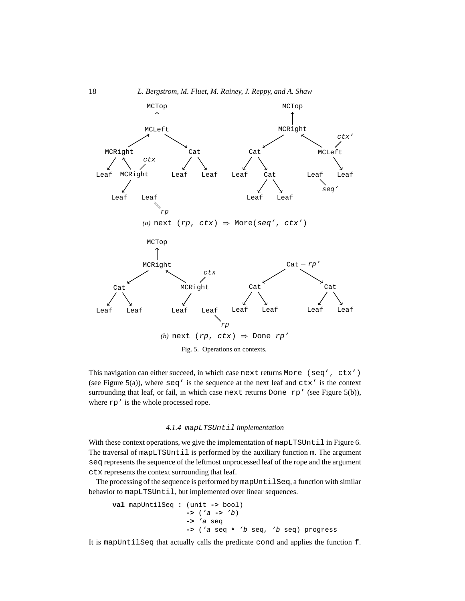

Fig. 5. Operations on contexts.

This navigation can either succeed, in which case next returns More (seq', ctx') (see Figure 5(a)), where  $\text{seq}'$  is the sequence at the next leaf and  $\text{ctx}'$  is the context surrounding that leaf, or fail, in which case next returns Done rp' (see Figure 5(b)), where  $rp'$  is the whole processed rope.

# *4.1.4* mapLTSUntil *implementation*

With these context operations, we give the implementation of mapLTSUntil in Figure 6. The traversal of mapLTSUntil is performed by the auxiliary function m. The argument seq represents the sequence of the leftmost unprocessed leaf of the rope and the argument ctx represents the context surrounding that leaf.

The processing of the sequence is performed by mapUntilSeq, a function with similar behavior to mapLTSUntil, but implemented over linear sequences.

```
val mapUntilSeq : (unit -> bool)
                  -> ('a -> 'b)
                  -> 'a seq
                  -> ('a seq * 'b seq, 'b seq) progress
```
It is mapUntilSeq that actually calls the predicate cond and applies the function f.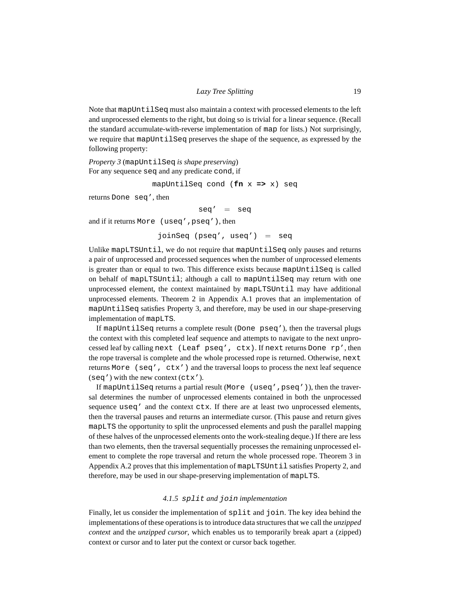Note that mapUntilSeq must also maintain a context with processed elements to the left and unprocessed elements to the right, but doing so is trivial for a linear sequence. (Recall the standard accumulate-with-reverse implementation of map for lists.) Not surprisingly, we require that mapUntilSeq preserves the shape of the sequence, as expressed by the following property:

*Property 3* (mapUntilSeq *is shape preserving*) For any sequence seq and any predicate cond, if

mapUntilSeq cond (**fn** x **=>** x) seq

returns Done seq', then

 $seq' = seq$ 

and if it returns More (useq',pseq'), then

joinSeq (pseq', useq') = seq

Unlike mapLTSUntil, we do not require that mapUntilSeq only pauses and returns a pair of unprocessed and processed sequences when the number of unprocessed elements is greater than or equal to two. This difference exists because mapUntilSeq is called on behalf of mapLTSUntil; although a call to mapUntilSeq may return with one unprocessed element, the context maintained by mapLTSUntil may have additional unprocessed elements. Theorem 2 in Appendix A.1 proves that an implementation of mapUntilSeq satisfies Property 3, and therefore, may be used in our shape-preserving implementation of mapLTS.

If mapUntilSeq returns a complete result (Done pseq'), then the traversal plugs the context with this completed leaf sequence and attempts to navigate to the next unprocessed leaf by calling next (Leaf pseq', ctx). If next returns Done rp', then the rope traversal is complete and the whole processed rope is returned. Otherwise, next returns More (seq', ctx') and the traversal loops to process the next leaf sequence (seq') with the new context (ctx').

If mapUntilSeq returns a partial result (More (useq',pseq')), then the traversal determines the number of unprocessed elements contained in both the unprocessed sequence useq' and the context ctx. If there are at least two unprocessed elements, then the traversal pauses and returns an intermediate cursor. (This pause and return gives mapLTS the opportunity to split the unprocessed elements and push the parallel mapping of these halves of the unprocessed elements onto the work-stealing deque.) If there are less than two elements, then the traversal sequentially processes the remaining unprocessed element to complete the rope traversal and return the whole processed rope. Theorem 3 in Appendix A.2 proves that this implementation of mapLTSUntil satisfies Property 2, and therefore, may be used in our shape-preserving implementation of mapLTS.

#### *4.1.5* split *and* join *implementation*

Finally, let us consider the implementation of split and join. The key idea behind the implementations of these operations is to introduce data structures that we call the *unzipped context* and the *unzipped cursor*, which enables us to temporarily break apart a (zipped) context or cursor and to later put the context or cursor back together.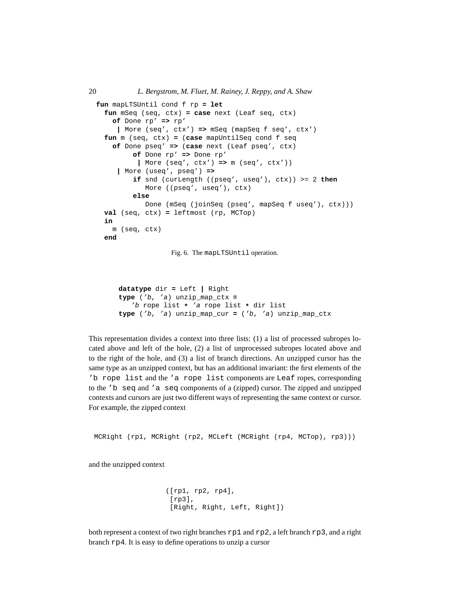```
fun mapLTSUntil cond f rp = let
 fun mSeq (seq, ctx) = case next (Leaf seq, ctx)
   of Done rp' => rp'
     | More (seq', ctx') => mSeq (mapSeq f seq', ctx')
 fun m (seq, ctx) = (case mapUntilSeq cond f seq
   of Done pseq' => (case next (Leaf pseq', ctx)
        of Done rp' => Done rp'
          | More (seq', ctx') => m (seq', ctx'))
     | More (useq', pseq') =>
         if snd (curLength ((pseq', useq'), ctx)) >= 2 then
            More ((pseq', useq'), ctx)
         else
            Done (mSeq (joinSeq (pseq', mapSeq f useq'), ctx)))
 val (seq, ctx) = leftmost (rp, MCTop)
 in
   m (seq, ctx)
 end
```
Fig. 6. The mapLTSUntil operation.

```
datatype dir = Left | Right
type ('b, 'a) unzip_map_ctx =
   'b rope list * 'a rope list * dir list
type ('b, 'a) unzip_map_cur = ('b, 'a) unzip_map_ctx
```
This representation divides a context into three lists: (1) a list of processed subropes located above and left of the hole, (2) a list of unprocessed subropes located above and to the right of the hole, and (3) a list of branch directions. An unzipped cursor has the same type as an unzipped context, but has an additional invariant: the first elements of the 'b rope list and the 'a rope list components are Leaf ropes, corresponding to the 'b seq and 'a seq components of a (zipped) cursor. The zipped and unzipped contexts and cursors are just two different ways of representing the same context or cursor. For example, the zipped context

MCRight (rp1, MCRight (rp2, MCLeft (MCRight (rp4, MCTop), rp3)))

and the unzipped context

```
([rp1, rp2, rp4],
[rp3],
[Right, Right, Left, Right])
```
both represent a context of two right branches rp1 and rp2, a left branch rp3, and a right branch rp4. It is easy to define operations to unzip a cursor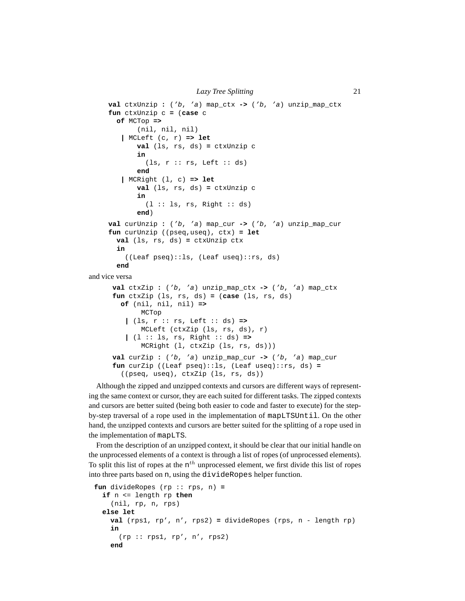```
Lazy Tree Splitting 21
    val ctxUnzip : ('b, 'a) map_ctx -> ('b, 'a) unzip_map_ctx
    fun ctxUnzip c = (case c
      of MCTop =>
           (nil, nil, nil)
       | MCLeft (c, r) => let
           val (ls, rs, ds) = ctxUnzip c
           in
              (ls, r :: rs, Left :: ds)end
       | MCRight (l, c) => let
           val (ls, rs, ds) = ctxUnzip c
           in
              (l :: ls, rs, Right :: ds)
           end)
    val curUnzip : ('b, 'a) map_cur -> ('b, 'a) unzip_map_cur
    fun curUnzip ((pseq,useq), ctx) = let
      val (ls, rs, ds) = ctxUnzip ctx
      in
        ((Leaf pseq)::ls, (Leaf useq)::rs, ds)
      end
and vice versa
     val ctxZip : ('b, 'a) unzip_map_ctx -> ('b, 'a) map_ctx
     fun ctxZip (ls, rs, ds) = (case (ls, rs, ds)
       of (nil, nil, nil) =>
            MCTop
        | (ls, r :: rs, Left :: ds) =>
            MCLeft (ctxZip (ls, rs, ds), r)
         | (l :: ls, rs, Right :: ds) =>
            MCRight (l, ctxZip (ls, rs, ds)))
     val curZip : ('b, 'a) unzip_map_cur -> ('b, 'a) map_cur
     fun curZip ((Leaf pseq)::ls, (Leaf useq)::rs, ds) =
       ((pseq, useq), ctxZip (ls, rs, ds))
```
Although the zipped and unzipped contexts and cursors are different ways of representing the same context or cursor, they are each suited for different tasks. The zipped contexts and cursors are better suited (being both easier to code and faster to execute) for the stepby-step traversal of a rope used in the implementation of mapLTSUntil. On the other hand, the unzipped contexts and cursors are better suited for the splitting of a rope used in the implementation of mapLTS.

From the description of an unzipped context, it should be clear that our initial handle on the unprocessed elements of a context is through a list of ropes (of unprocessed elements). To split this list of ropes at the  $n<sup>th</sup>$  unprocessed element, we first divide this list of ropes into three parts based on n, using the divideRopes helper function.

```
fun divideRopes (rp :: rps, n) =
  if n <= length rp then
    (nil, rp, n, rps)
  else let
   val (rps1, rp', n', rps2) = divideRopes (rps, n - length rp)
    in
      (rp :: rps1, rp', n', rps2)end
```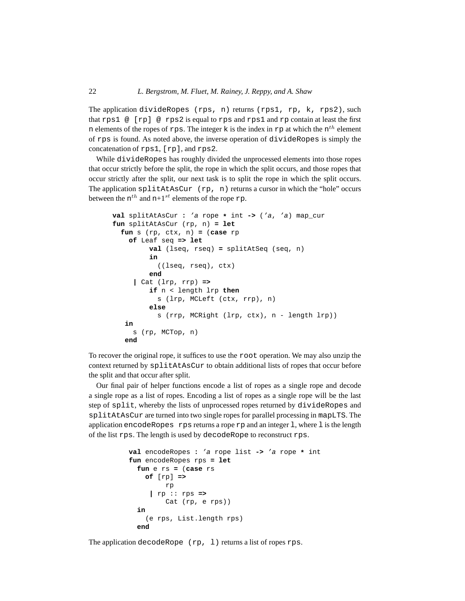The application divideRopes (rps, n) returns (rps1, rp, k, rps2), such that rps1 @ [rp] @ rps2 is equal to rps and rps1 and rp contain at least the first n elements of the ropes of rps. The integer k is the index in rp at which the  $n^{th}$  element of rps is found. As noted above, the inverse operation of divideRopes is simply the concatenation of rps1, [rp], and rps2.

While divideRopes has roughly divided the unprocessed elements into those ropes that occur strictly before the split, the rope in which the split occurs, and those ropes that occur strictly after the split, our next task is to split the rope in which the split occurs. The application splitAtAsCur  $(rp, n)$  returns a cursor in which the "hole" occurs between the  $n^{th}$  and  $n+1^{st}$  elements of the rope  $rp$ .

```
val splitAtAsCur : 'a rope * int -> ('a, 'a) map_cur
fun splitAtAsCur (rp, n) = let
  fun s (rp, ctx, n) = (case rp
    of Leaf seq => let
         val (lseq, rseq) = splitAtSeq (seq, n)
         in
           ((lseq, rseq), ctx)
         end
     | Cat (lrp, rrp) =>
         if n < length lrp then
           s (lrp, MCLeft (ctx, rrp), n)
         else
           s (rrp, MCRight (lrp, ctx), n - length lrp))
   in
     s (rp, MCTop, n)
   end
```
To recover the original rope, it suffices to use the root operation. We may also unzip the context returned by splitAtAsCur to obtain additional lists of ropes that occur before the split and that occur after split.

Our final pair of helper functions encode a list of ropes as a single rope and decode a single rope as a list of ropes. Encoding a list of ropes as a single rope will be the last step of split, whereby the lists of unprocessed ropes returned by divideRopes and splitAtAsCur are turned into two single ropes for parallel processing in mapLTS. The application encodeRopes rps returns a rope rp and an integer l, where l is the length of the list rps. The length is used by decodeRope to reconstruct rps.

```
val encodeRopes : 'a rope list -> 'a rope * int
fun encodeRopes rps = let
  fun e rs = (case rs
    of [rp] =>
         rp
     | rp :: rps =>
         Cat (rp, e rps))
  in
    (e rps, List.length rps)
  end
```
The application decodeRope (rp, 1) returns a list of ropes rps.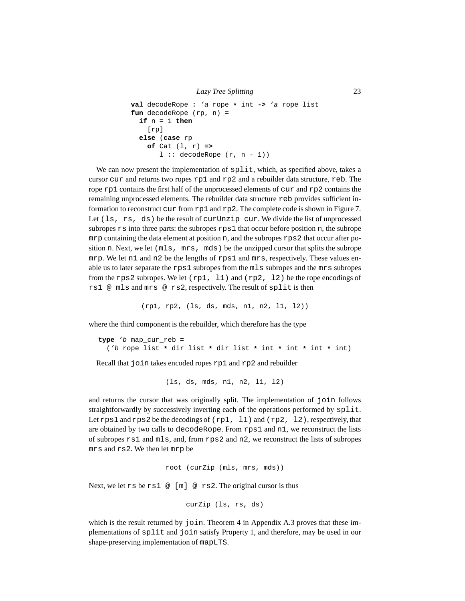```
Lazy Tree Splitting 23
```

```
val decodeRope : 'a rope * int -> 'a rope list
fun decodeRope (rp, n) =
  if n = 1 then
    [rp]
  else (case rp
    of Cat (l, r) =>
       l :: decoderlope (r, n - 1))
```
We can now present the implementation of  $\text{split}$ , which, as specified above, takes a cursor cur and returns two ropes rp1 and rp2 and a rebuilder data structure, reb. The rope rp1 contains the first half of the unprocessed elements of cur and rp2 contains the remaining unprocessed elements. The rebuilder data structure reb provides sufficient information to reconstruct cur from rp1 and rp2. The complete code is shown in Figure 7. Let  $(\text{ls}, \text{rs}, \text{ds})$  be the result of curving cur. We divide the list of unprocessed subropes  $rs$  into three parts: the subropes  $rps1$  that occur before position n, the subrope mrp containing the data element at position n, and the subropes rps2 that occur after position n. Next, we let (mls, mrs, mds) be the unzipped cursor that splits the subrope mrp. We let n1 and n2 be the lengths of rps1 and mrs, respectively. These values enable us to later separate the rps1 subropes from the mls subropes and the mrs subropes from the rps2 subropes. We let  $(rp1, 11)$  and  $(rp2, 12)$  be the rope encodings of rs1 @ mls and mrs @ rs2, respectively. The result of split is then

(rp1, rp2, (ls, ds, mds, n1, n2, l1, l2))

where the third component is the rebuilder, which therefore has the type

**type** 'b map\_cur\_reb **=** ('b rope list **\*** dir list **\*** dir list **\*** int **\*** int **\*** int **\*** int)

Recall that join takes encoded ropes rp1 and rp2 and rebuilder

(ls, ds, mds, n1, n2, l1, l2)

and returns the cursor that was originally split. The implementation of join follows straightforwardly by successively inverting each of the operations performed by split. Let rps1 and rps2 be the decodings of  $(rp1, 11)$  and  $(rp2, 12)$ , respectively, that are obtained by two calls to decodeRope. From rps1 and n1, we reconstruct the lists of subropes rs1 and mls, and, from rps2 and n2, we reconstruct the lists of subropes mrs and rs2. We then let mrp be

```
root (curZip (mls, mrs, mds))
```
Next, we let  $rsbers1 \text{ } \textcircled{ }$  [m]  $\textcircled{ }$  rs2. The original cursor is thus

```
curZip (ls, rs, ds)
```
which is the result returned by join. Theorem 4 in Appendix A.3 proves that these implementations of split and join satisfy Property 1, and therefore, may be used in our shape-preserving implementation of mapLTS.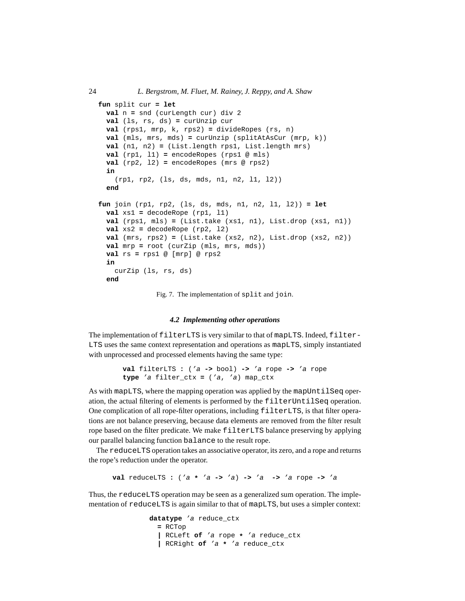```
fun split cur = let
 val n = snd (curLength cur) div 2
 val (ls, rs, ds) = curUnzip cur
 val (rps1, mrp, k, rps2) = divideRopes (rs, n)
 val (mls, mrs, mds) = curUnzip (splitAtAsCur (mrp, k))
 val (n1, n2) = (List.length rps1, List.length mrs)
 val (rp1, l1) = encodeRopes (rps1 @ mls)
 val (rp2, l2) = encodeRopes (mrs @ rps2)
 in
    (rp1, rp2, (ls, ds, mds, n1, n2, l1, l2))
  end
fun join (rp1, rp2, (ls, ds, mds, n1, n2, l1, l2)) = let
 val xs1 = decodeRope (rp1, l1)
 val (rps1, mls) = (List.take (xs1, n1), List.drop (xs1, n1))
 val xs2 = decodeRope (rp2, l2)
 val (mrs, rps2) = (List.take (xs2, n2), List.drop (xs2, n2))
 val mrp = root (curZip (mls, mrs, mds))
 val rs = rps1 @ [mrp] @ rps2
 in
   curZip (ls, rs, ds)
 end
```
Fig. 7. The implementation of split and join.

#### *4.2 Implementing other operations*

The implementation of filterLTS is very similar to that of mapLTS. Indeed, filter-LTS uses the same context representation and operations as mapLTS, simply instantiated with unprocessed and processed elements having the same type:

```
val filterLTS : ('a -> bool) -> 'a rope -> 'a rope
type 'a filter_ctx = ('a, 'a) map_ctx
```
As with mapLTS, where the mapping operation was applied by the mapUntilSeq operation, the actual filtering of elements is performed by the filterUntilSeq operation. One complication of all rope-filter operations, including filterLTS, is that filter operations are not balance preserving, because data elements are removed from the filter result rope based on the filter predicate. We make filterLTS balance preserving by applying our parallel balancing function balance to the result rope.

The reduceLTS operation takes an associative operator, its zero, and a rope and returns the rope's reduction under the operator.

**val** reduceLTS **:** ('a **\*** 'a **->** 'a) **->** 'a **->** 'a rope **->** 'a

Thus, the reduceLTS operation may be seen as a generalized sum operation. The implementation of reduceLTS is again similar to that of mapLTS, but uses a simpler context:

```
datatype 'a reduce_ctx
 = RCTop
  | RCLeft of 'a rope * 'a reduce_ctx
  | RCRight of 'a * 'a reduce_ctx
```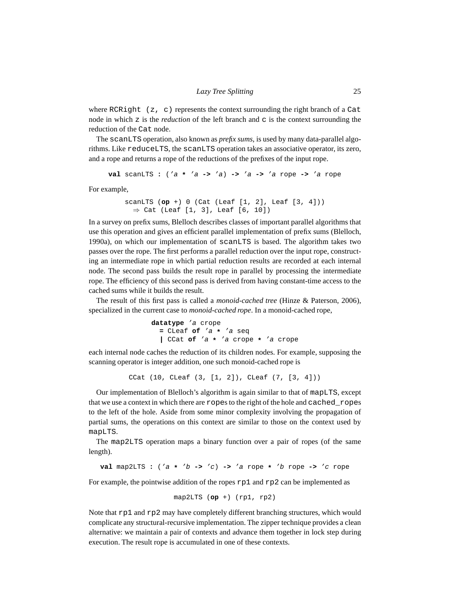where RCRight (z, c) represents the context surrounding the right branch of a Cat node in which z is the *reduction* of the left branch and c is the context surrounding the reduction of the Cat node.

The scanLTS operation, also known as *prefix sums*, is used by many data-parallel algorithms. Like reduceLTS, the scanLTS operation takes an associative operator, its zero, and a rope and returns a rope of the reductions of the prefixes of the input rope.

**val** scanLTS **:** ('a **\*** 'a **->** 'a) **->** 'a **->** 'a rope **->** 'a rope

For example,

```
scanLTS (op +) 0 (Cat (Leaf [1, 2], Leaf [3, 4]))
  \Rightarrow Cat (Leaf [1, 3], Leaf [6, 10])
```
In a survey on prefix sums, Blelloch describes classes of important parallel algorithms that use this operation and gives an efficient parallel implementation of prefix sums (Blelloch, 1990a), on which our implementation of scanLTS is based. The algorithm takes two passes over the rope. The first performs a parallel reduction over the input rope, constructing an intermediate rope in which partial reduction results are recorded at each internal node. The second pass builds the result rope in parallel by processing the intermediate rope. The efficiency of this second pass is derived from having constant-time access to the cached sums while it builds the result.

The result of this first pass is called a *monoid-cached tree* (Hinze & Paterson, 2006), specialized in the current case to *monoid-cached rope*. In a monoid-cached rope,

```
datatype 'a crope
  = CLeaf of 'a * 'a seq
  | CCat of 'a * 'a crope * 'a crope
```
each internal node caches the reduction of its children nodes. For example, supposing the scanning operator is integer addition, one such monoid-cached rope is

CCat (10, CLeaf (3, [1, 2]), CLeaf (7, [3, 4]))

Our implementation of Blelloch's algorithm is again similar to that of mapLTS, except that we use a context in which there are ropes to the right of the hole and cached\_ropes to the left of the hole. Aside from some minor complexity involving the propagation of partial sums, the operations on this context are similar to those on the context used by mapLTS.

The map2LTS operation maps a binary function over a pair of ropes (of the same length).

**val** map2LTS **:** ('a **\*** 'b **->** 'c) **->** 'a rope **\*** 'b rope **->** 'c rope

For example, the pointwise addition of the ropes  $r$ p1 and  $r$ p2 can be implemented as

map2LTS (**op** +) (rp1, rp2)

Note that rp1 and rp2 may have completely different branching structures, which would complicate any structural-recursive implementation. The zipper technique provides a clean alternative: we maintain a pair of contexts and advance them together in lock step during execution. The result rope is accumulated in one of these contexts.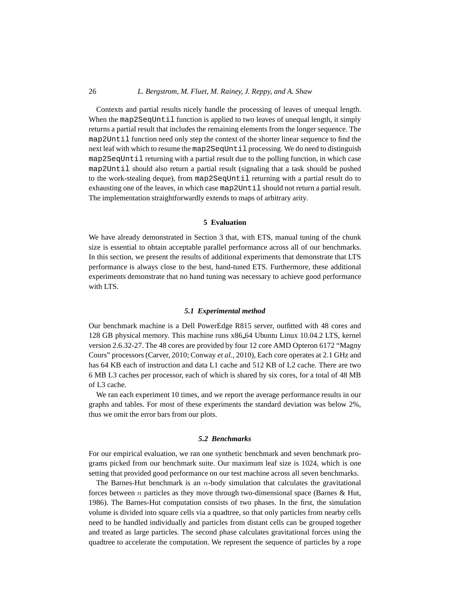#### 26 *L. Bergstrom, M. Fluet, M. Rainey, J. Reppy, and A. Shaw*

Contexts and partial results nicely handle the processing of leaves of unequal length. When the map2SeqUntil function is applied to two leaves of unequal length, it simply returns a partial result that includes the remaining elements from the longer sequence. The map2Until function need only step the context of the shorter linear sequence to find the next leaf with which to resume the map2SeqUntil processing. We do need to distinguish map2SeqUntil returning with a partial result due to the polling function, in which case map2Until should also return a partial result (signaling that a task should be pushed to the work-stealing deque), from map2SeqUntil returning with a partial result do to exhausting one of the leaves, in which case map2Until should not return a partial result. The implementation straightforwardly extends to maps of arbitrary arity.

#### **5 Evaluation**

We have already demonstrated in Section 3 that, with ETS, manual tuning of the chunk size is essential to obtain acceptable parallel performance across all of our benchmarks. In this section, we present the results of additional experiments that demonstrate that LTS performance is always close to the best, hand-tuned ETS. Furthermore, these additional experiments demonstrate that no hand tuning was necessary to achieve good performance with LTS.

#### *5.1 Experimental method*

Our benchmark machine is a Dell PowerEdge R815 server, outfitted with 48 cores and 128 GB physical memory. This machine runs x86 64 Ubuntu Linux 10.04.2 LTS, kernel version 2.6.32-27. The 48 cores are provided by four 12 core AMD Opteron 6172 "Magny Cours" processors (Carver, 2010; Conway *et al.*, 2010), Each core operates at 2.1 GHz and has 64 KB each of instruction and data L1 cache and 512 KB of L2 cache. There are two 6 MB L3 caches per processor, each of which is shared by six cores, for a total of 48 MB of L3 cache.

We ran each experiment 10 times, and we report the average performance results in our graphs and tables. For most of these experiments the standard deviation was below 2%, thus we omit the error bars from our plots.

# *5.2 Benchmarks*

For our empirical evaluation, we ran one synthetic benchmark and seven benchmark programs picked from our benchmark suite. Our maximum leaf size is 1024, which is one setting that provided good performance on our test machine across all seven benchmarks.

The Barnes-Hut benchmark is an  $n$ -body simulation that calculates the gravitational forces between  $n$  particles as they move through two-dimensional space (Barnes & Hut, 1986). The Barnes-Hut computation consists of two phases. In the first, the simulation volume is divided into square cells via a quadtree, so that only particles from nearby cells need to be handled individually and particles from distant cells can be grouped together and treated as large particles. The second phase calculates gravitational forces using the quadtree to accelerate the computation. We represent the sequence of particles by a rope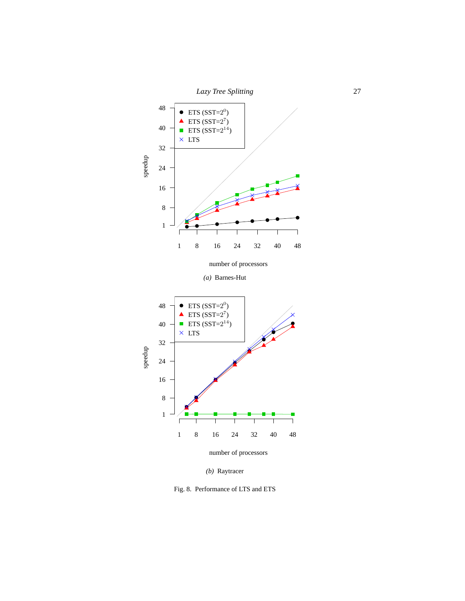



*(b)* Raytracer

Fig. 8. Performance of LTS and ETS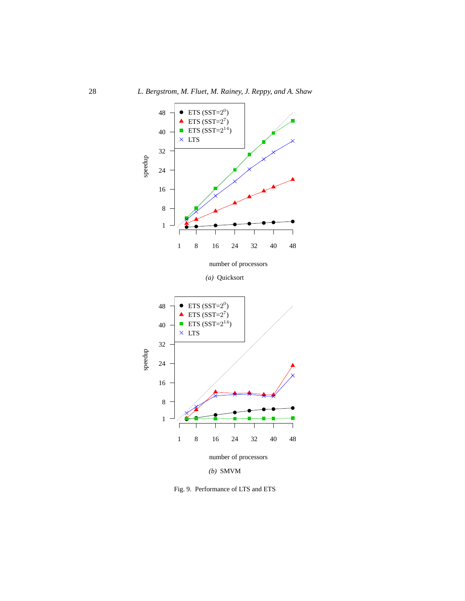

Fig. 9. Performance of LTS and ETS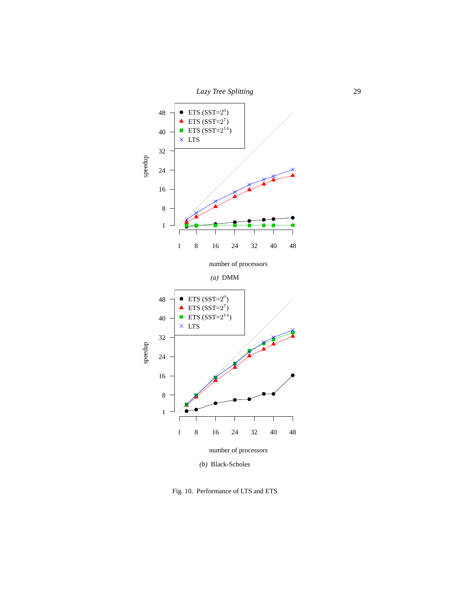



number of processors

*(a)* DMM



Fig. 10. Performance of LTS and ETS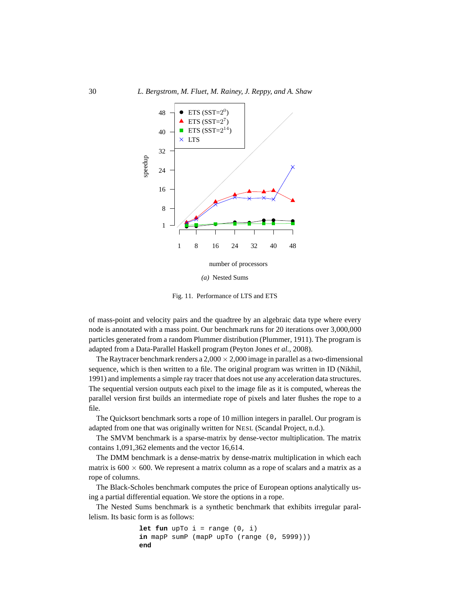

*(a)* Nested Sums

Fig. 11. Performance of LTS and ETS

of mass-point and velocity pairs and the quadtree by an algebraic data type where every node is annotated with a mass point. Our benchmark runs for 20 iterations over 3,000,000 particles generated from a random Plummer distribution (Plummer, 1911). The program is adapted from a Data-Parallel Haskell program (Peyton Jones *et al.*, 2008).

The Raytracer benchmark renders a  $2,000 \times 2,000$  image in parallel as a two-dimensional sequence, which is then written to a file. The original program was written in ID (Nikhil, 1991) and implements a simple ray tracer that does not use any acceleration data structures. The sequential version outputs each pixel to the image file as it is computed, whereas the parallel version first builds an intermediate rope of pixels and later flushes the rope to a file.

The Quicksort benchmark sorts a rope of 10 million integers in parallel. Our program is adapted from one that was originally written for NESL (Scandal Project, n.d.).

The SMVM benchmark is a sparse-matrix by dense-vector multiplication. The matrix contains 1,091,362 elements and the vector 16,614.

The DMM benchmark is a dense-matrix by dense-matrix multiplication in which each matrix is  $600 \times 600$ . We represent a matrix column as a rope of scalars and a matrix as a rope of columns.

The Black-Scholes benchmark computes the price of European options analytically using a partial differential equation. We store the options in a rope.

The Nested Sums benchmark is a synthetic benchmark that exhibits irregular parallelism. Its basic form is as follows:

```
let fun upTo i = range(0, i)in mapP sumP (mapP upTo (range (0, 5999)))
end
```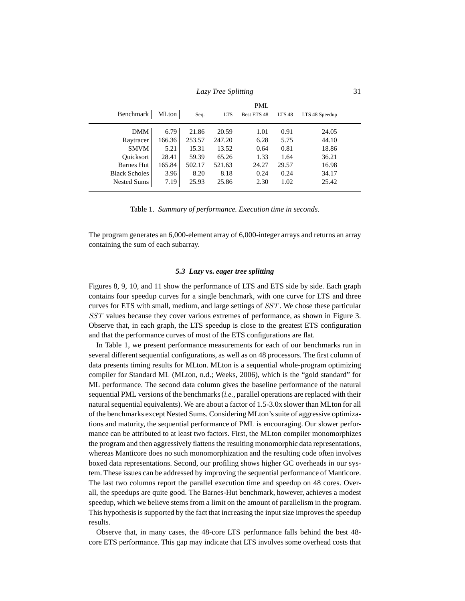| Lazy Tree Splitting |  |
|---------------------|--|
|                     |  |

|                      |        |        |            | <b>PML</b>  |                   |                |
|----------------------|--------|--------|------------|-------------|-------------------|----------------|
| Benchmark            | MLton  | Seq.   | <b>LTS</b> | Best ETS 48 | LTS <sub>48</sub> | LTS 48 Speedup |
| DMM I                | 6.79   | 21.86  | 20.59      | 1.01        | 0.91              | 24.05          |
| Raytracer            | 166.36 | 253.57 | 247.20     | 6.28        | 5.75              | 44.10          |
| <b>SMVM</b>          | 5.21   | 15.31  | 13.52      | 0.64        | 0.81              | 18.86          |
| <b>Ouicksort</b>     | 28.41  | 59.39  | 65.26      | 1.33        | 1.64              | 36.21          |
| Barnes Hut           | 165.84 | 502.17 | 521.63     | 24.27       | 29.57             | 16.98          |
| <b>Black Scholes</b> | 3.96   | 8.20   | 8.18       | 0.24        | 0.24              | 34.17          |
| Nested Sums          | 7.19   | 25.93  | 25.86      | 2.30        | 1.02              | 25.42          |

Table 1. *Summary of performance. Execution time in seconds.*

The program generates an 6,000-element array of 6,000-integer arrays and returns an array containing the sum of each subarray.

# *5.3 Lazy* **vs.** *eager tree splitting*

Figures 8, 9, 10, and 11 show the performance of LTS and ETS side by side. Each graph contains four speedup curves for a single benchmark, with one curve for LTS and three curves for ETS with small, medium, and large settings of SST. We chose these particular SST values because they cover various extremes of performance, as shown in Figure 3. Observe that, in each graph, the LTS speedup is close to the greatest ETS configuration and that the performance curves of most of the ETS configurations are flat.

In Table 1, we present performance measurements for each of our benchmarks run in several different sequential configurations, as well as on 48 processors. The first column of data presents timing results for MLton. MLton is a sequential whole-program optimizing compiler for Standard ML (MLton, n.d.; Weeks, 2006), which is the "gold standard" for ML performance. The second data column gives the baseline performance of the natural sequential PML versions of the benchmarks (*i.e.*, parallel operations are replaced with their natural sequential equivalents). We are about a factor of 1.5-3.0x slower than MLton for all of the benchmarks except Nested Sums. Considering MLton's suite of aggressive optimizations and maturity, the sequential performance of PML is encouraging. Our slower performance can be attributed to at least two factors. First, the MLton compiler monomorphizes the program and then aggressively flattens the resulting monomorphic data representations, whereas Manticore does no such monomorphization and the resulting code often involves boxed data representations. Second, our profiling shows higher GC overheads in our system. These issues can be addressed by improving the sequential performance of Manticore. The last two columns report the parallel execution time and speedup on 48 cores. Overall, the speedups are quite good. The Barnes-Hut benchmark, however, achieves a modest speedup, which we believe stems from a limit on the amount of parallelism in the program. This hypothesis is supported by the fact that increasing the input size improves the speedup results.

Observe that, in many cases, the 48-core LTS performance falls behind the best 48 core ETS performance. This gap may indicate that LTS involves some overhead costs that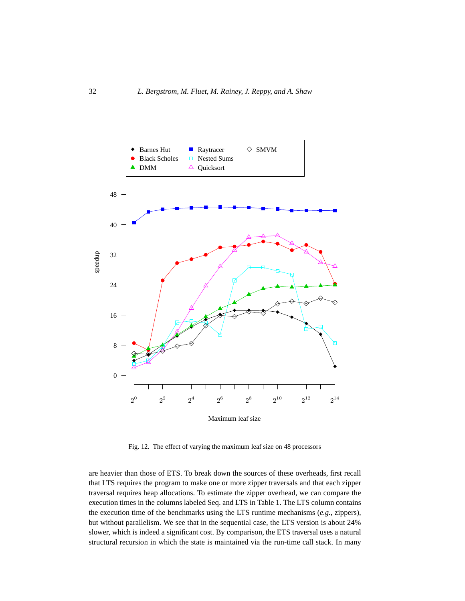

Fig. 12. The effect of varying the maximum leaf size on 48 processors

are heavier than those of ETS. To break down the sources of these overheads, first recall that LTS requires the program to make one or more zipper traversals and that each zipper traversal requires heap allocations. To estimate the zipper overhead, we can compare the execution times in the columns labeled Seq. and LTS in Table 1. The LTS column contains the execution time of the benchmarks using the LTS runtime mechanisms (*e.g.*, zippers), but without parallelism. We see that in the sequential case, the LTS version is about 24% slower, which is indeed a significant cost. By comparison, the ETS traversal uses a natural structural recursion in which the state is maintained via the run-time call stack. In many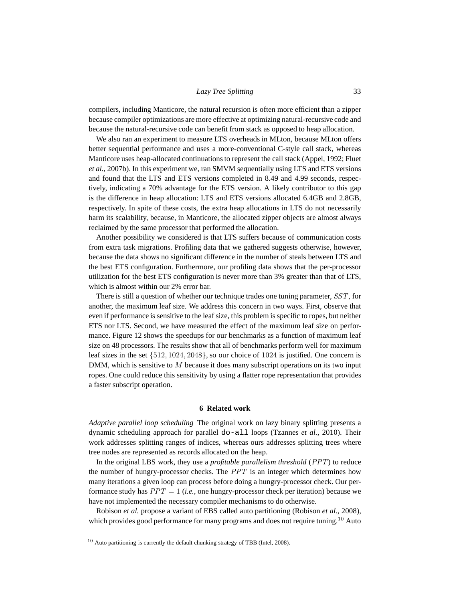compilers, including Manticore, the natural recursion is often more efficient than a zipper because compiler optimizations are more effective at optimizing natural-recursive code and because the natural-recursive code can benefit from stack as opposed to heap allocation.

We also ran an experiment to measure LTS overheads in MLton, because MLton offers better sequential performance and uses a more-conventional C-style call stack, whereas Manticore uses heap-allocated continuations to represent the call stack (Appel, 1992; Fluet *et al.*, 2007b). In this experiment we, ran SMVM sequentially using LTS and ETS versions and found that the LTS and ETS versions completed in 8.49 and 4.99 seconds, respectively, indicating a 70% advantage for the ETS version. A likely contributor to this gap is the difference in heap allocation: LTS and ETS versions allocated 6.4GB and 2.8GB, respectively. In spite of these costs, the extra heap allocations in LTS do not necessarily harm its scalability, because, in Manticore, the allocated zipper objects are almost always reclaimed by the same processor that performed the allocation.

Another possibility we considered is that LTS suffers because of communication costs from extra task migrations. Profiling data that we gathered suggests otherwise, however, because the data shows no significant difference in the number of steals between LTS and the best ETS configuration. Furthermore, our profiling data shows that the per-processor utilization for the best ETS configuration is never more than 3% greater than that of LTS, which is almost within our 2% error bar.

There is still a question of whether our technique trades one tuning parameter, SST, for another, the maximum leaf size. We address this concern in two ways. First, observe that even if performance is sensitive to the leaf size, this problem is specific to ropes, but neither ETS nor LTS. Second, we have measured the effect of the maximum leaf size on performance. Figure 12 shows the speedups for our benchmarks as a function of maximum leaf size on 48 processors. The results show that all of benchmarks perform well for maximum leaf sizes in the set {512, 1024, 2048}, so our choice of 1024 is justified. One concern is DMM, which is sensitive to  $M$  because it does many subscript operations on its two input ropes. One could reduce this sensitivity by using a flatter rope representation that provides a faster subscript operation.

#### **6 Related work**

*Adaptive parallel loop scheduling* The original work on lazy binary splitting presents a dynamic scheduling approach for parallel do-all loops (Tzannes *et al.*, 2010). Their work addresses splitting ranges of indices, whereas ours addresses splitting trees where tree nodes are represented as records allocated on the heap.

In the original LBS work, they use a *profitable parallelism threshold* (PPT) to reduce the number of hungry-processor checks. The PPT is an integer which determines how many iterations a given loop can process before doing a hungry-processor check. Our performance study has PPT = 1 (*i.e.*, one hungry-processor check per iteration) because we have not implemented the necessary compiler mechanisms to do otherwise.

Robison *et al.* propose a variant of EBS called auto partitioning (Robison *et al.*, 2008), which provides good performance for many programs and does not require tuning.<sup>10</sup> Auto

 $10$  Auto partitioning is currently the default chunking strategy of TBB (Intel, 2008).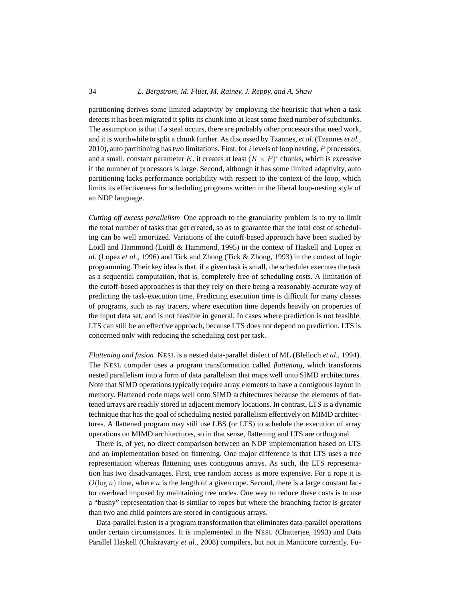# 34 *L. Bergstrom, M. Fluet, M. Rainey, J. Reppy, and A. Shaw*

partitioning derives some limited adaptivity by employing the heuristic that when a task detects it has been migrated it splits its chunk into at least some fixed number of subchunks. The assumption is that if a steal occurs, there are probably other processors that need work, and it is worthwhile to split a chunk further. As discussed by Tzannes, *et al.* (Tzannes *et al.*, 2010), auto partitioning has two limitations. First, for  $i$  levels of loop nesting,  $P$  processors, and a small, constant parameter K, it creates at least  $(K \times P)^i$  chunks, which is excessive if the number of processors is large. Second, although it has some limited adaptivity, auto partitioning lacks performance portability with respect to the context of the loop, which limits its effectiveness for scheduling programs written in the liberal loop-nesting style of an NDP language.

*Cutting off excess parallelism* One approach to the granularity problem is to try to limit the total number of tasks that get created, so as to guarantee that the total cost of scheduling can be well amortized. Variations of the cutoff-based approach have been studied by Loidl and Hammond (Loidl & Hammond, 1995) in the context of Haskell and Lopez *et al.* (Lopez *et al.*, 1996) and Tick and Zhong (Tick & Zhong, 1993) in the context of logic programming. Their key idea is that, if a given task is small, the scheduler executes the task as a sequential computation, that is, completely free of scheduling costs. A limitation of the cutoff-based approaches is that they rely on there being a reasonably-accurate way of predicting the task-execution time. Predicting execution time is difficult for many classes of programs, such as ray tracers, where execution time depends heavily on properties of the input data set, and is not feasible in general. In cases where prediction is not feasible, LTS can still be an effective approach, because LTS does not depend on prediction. LTS is concerned only with reducing the scheduling cost per task.

*Flattening and fusion* NESL is a nested data-parallel dialect of ML (Blelloch *et al.*, 1994). The NESL compiler uses a program transformation called *flattening*, which transforms nested parallelism into a form of data parallelism that maps well onto SIMD architectures. Note that SIMD operations typically require array elements to have a contiguous layout in memory. Flattened code maps well onto SIMD architectures because the elements of flattened arrays are readily stored in adjacent memory locations. In contrast, LTS is a dynamic technique that has the goal of scheduling nested parallelism effectively on MIMD architectures. A flattened program may still use LBS (or LTS) to schedule the execution of array operations on MIMD architectures, so in that sense, flattening and LTS are orthogonal.

There is, of yet, no direct comparison between an NDP implementation based on LTS and an implementation based on flattening. One major difference is that LTS uses a tree representation whereas flattening uses contiguous arrays. As such, the LTS representation has two disadvantages. First, tree random access is more expensive. For a rope it is  $O(\log n)$  time, where n is the length of a given rope. Second, there is a large constant factor overhead imposed by maintaining tree nodes. One way to reduce these costs is to use a "bushy" representation that is similar to ropes but where the branching factor is greater than two and child pointers are stored in contiguous arrays.

Data-parallel fusion is a program transformation that eliminates data-parallel operations under certain circumstances. It is implemented in the NESL (Chatterjee, 1993) and Data Parallel Haskell (Chakravarty *et al.*, 2008) compilers, but not in Manticore currently. Fu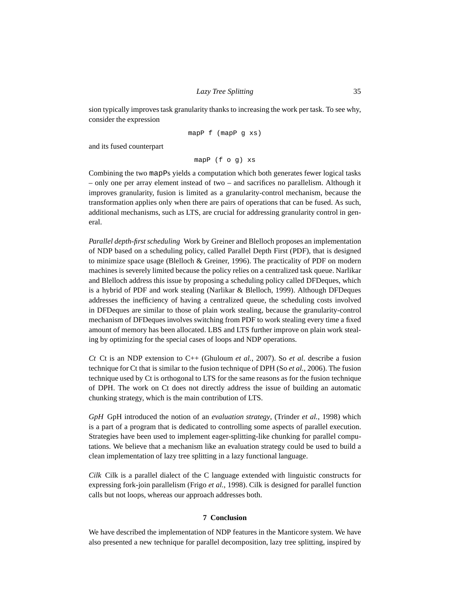sion typically improves task granularity thanks to increasing the work per task. To see why, consider the expression

mapP f (mapP g xs)

and its fused counterpart

mapP (f o g) xs

Combining the two mapPs yields a computation which both generates fewer logical tasks – only one per array element instead of two – and sacrifices no parallelism. Although it improves granularity, fusion is limited as a granularity-control mechanism, because the transformation applies only when there are pairs of operations that can be fused. As such, additional mechanisms, such as LTS, are crucial for addressing granularity control in general.

*Parallel depth-first scheduling* Work by Greiner and Blelloch proposes an implementation of NDP based on a scheduling policy, called Parallel Depth First (PDF), that is designed to minimize space usage (Blelloch & Greiner, 1996). The practicality of PDF on modern machines is severely limited because the policy relies on a centralized task queue. Narlikar and Blelloch address this issue by proposing a scheduling policy called DFDeques, which is a hybrid of PDF and work stealing (Narlikar & Blelloch, 1999). Although DFDeques addresses the inefficiency of having a centralized queue, the scheduling costs involved in DFDeques are similar to those of plain work stealing, because the granularity-control mechanism of DFDeques involves switching from PDF to work stealing every time a fixed amount of memory has been allocated. LBS and LTS further improve on plain work stealing by optimizing for the special cases of loops and NDP operations.

*Ct* Ct is an NDP extension to C++ (Ghuloum *et al.*, 2007). So *et al.* describe a fusion technique for Ct that is similar to the fusion technique of DPH (So *et al.*, 2006). The fusion technique used by Ct is orthogonal to LTS for the same reasons as for the fusion technique of DPH. The work on Ct does not directly address the issue of building an automatic chunking strategy, which is the main contribution of LTS.

*GpH* GpH introduced the notion of an *evaluation strategy*, (Trinder *et al.*, 1998) which is a part of a program that is dedicated to controlling some aspects of parallel execution. Strategies have been used to implement eager-splitting-like chunking for parallel computations. We believe that a mechanism like an evaluation strategy could be used to build a clean implementation of lazy tree splitting in a lazy functional language.

*Cilk* Cilk is a parallel dialect of the C language extended with linguistic constructs for expressing fork-join parallelism (Frigo *et al.*, 1998). Cilk is designed for parallel function calls but not loops, whereas our approach addresses both.

# **7 Conclusion**

We have described the implementation of NDP features in the Manticore system. We have also presented a new technique for parallel decomposition, lazy tree splitting, inspired by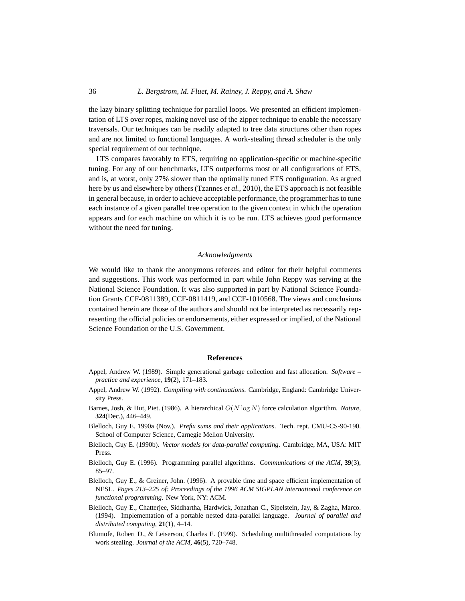#### 36 *L. Bergstrom, M. Fluet, M. Rainey, J. Reppy, and A. Shaw*

the lazy binary splitting technique for parallel loops. We presented an efficient implementation of LTS over ropes, making novel use of the zipper technique to enable the necessary traversals. Our techniques can be readily adapted to tree data structures other than ropes and are not limited to functional languages. A work-stealing thread scheduler is the only special requirement of our technique.

LTS compares favorably to ETS, requiring no application-specific or machine-specific tuning. For any of our benchmarks, LTS outperforms most or all configurations of ETS, and is, at worst, only 27% slower than the optimally tuned ETS configuration. As argued here by us and elsewhere by others (Tzannes *et al.*, 2010), the ETS approach is not feasible in general because, in order to achieve acceptable performance, the programmer has to tune each instance of a given parallel tree operation to the given context in which the operation appears and for each machine on which it is to be run. LTS achieves good performance without the need for tuning.

# *Acknowledgments*

We would like to thank the anonymous referees and editor for their helpful comments and suggestions. This work was performed in part while John Reppy was serving at the National Science Foundation. It was also supported in part by National Science Foundation Grants CCF-0811389, CCF-0811419, and CCF-1010568. The views and conclusions contained herein are those of the authors and should not be interpreted as necessarily representing the official policies or endorsements, either expressed or implied, of the National Science Foundation or the U.S. Government.

#### **References**

- Appel, Andrew W. (1989). Simple generational garbage collection and fast allocation. *Software – practice and experience*, **19**(2), 171–183.
- Appel, Andrew W. (1992). *Compiling with continuations*. Cambridge, England: Cambridge University Press.
- Barnes, Josh, & Hut, Piet. (1986). A hierarchical O(N log N) force calculation algorithm. *Nature*, **324**(Dec.), 446–449.
- Blelloch, Guy E. 1990a (Nov.). *Prefix sums and their applications*. Tech. rept. CMU-CS-90-190. School of Computer Science, Carnegie Mellon University.
- Blelloch, Guy E. (1990b). *Vector models for data-parallel computing*. Cambridge, MA, USA: MIT Press.
- Blelloch, Guy E. (1996). Programming parallel algorithms. *Communications of the ACM*, **39**(3), 85–97.
- Blelloch, Guy E., & Greiner, John. (1996). A provable time and space efficient implementation of NESL. *Pages 213–225 of: Proceedings of the 1996 ACM SIGPLAN international conference on functional programming*. New York, NY: ACM.
- Blelloch, Guy E., Chatterjee, Siddhartha, Hardwick, Jonathan C., Sipelstein, Jay, & Zagha, Marco. (1994). Implementation of a portable nested data-parallel language. *Journal of parallel and distributed computing*, **21**(1), 4–14.
- Blumofe, Robert D., & Leiserson, Charles E. (1999). Scheduling multithreaded computations by work stealing. *Journal of the ACM*, **46**(5), 720–748.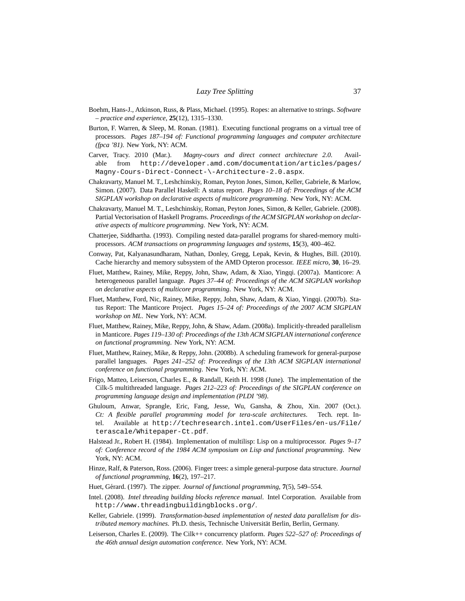- Boehm, Hans-J., Atkinson, Russ, & Plass, Michael. (1995). Ropes: an alternative to strings. *Software – practice and experience*, **25**(12), 1315–1330.
- Burton, F. Warren, & Sleep, M. Ronan. (1981). Executing functional programs on a virtual tree of processors. *Pages 187–194 of: Functional programming languages and computer architecture (fpca '81)*. New York, NY: ACM.
- Carver, Tracy. 2010 (Mar.). *Magny-cours and direct connect architecture 2.0*. Available from http://developer.amd.com/documentation/articles/pages/ Magny-Cours-Direct-Connect-\-Architecture-2.0.aspx.
- Chakravarty, Manuel M. T., Leshchinskiy, Roman, Peyton Jones, Simon, Keller, Gabriele, & Marlow, Simon. (2007). Data Parallel Haskell: A status report. *Pages 10–18 of: Proceedings of the ACM SIGPLAN workshop on declarative aspects of multicore programming*. New York, NY: ACM.
- Chakravarty, Manuel M. T., Leshchinskiy, Roman, Peyton Jones, Simon, & Keller, Gabriele. (2008). Partial Vectorisation of Haskell Programs. *Proceedings of the ACM SIGPLAN workshop on declarative aspects of multicore programming*. New York, NY: ACM.
- Chatterjee, Siddhartha. (1993). Compiling nested data-parallel programs for shared-memory multiprocessors. *ACM transactions on programming languages and systems*, **15**(3), 400–462.
- Conway, Pat, Kalyanasundharam, Nathan, Donley, Gregg, Lepak, Kevin, & Hughes, Bill. (2010). Cache hierarchy and memory subsystem of the AMD Opteron processor. *IEEE micro*, **30**, 16–29.
- Fluet, Matthew, Rainey, Mike, Reppy, John, Shaw, Adam, & Xiao, Yingqi. (2007a). Manticore: A heterogeneous parallel language. *Pages 37–44 of: Proceedings of the ACM SIGPLAN workshop on declarative aspects of multicore programming*. New York, NY: ACM.
- Fluet, Matthew, Ford, Nic, Rainey, Mike, Reppy, John, Shaw, Adam, & Xiao, Yingqi. (2007b). Status Report: The Manticore Project. *Pages 15–24 of: Proceedings of the 2007 ACM SIGPLAN workshop on ML*. New York, NY: ACM.
- Fluet, Matthew, Rainey, Mike, Reppy, John, & Shaw, Adam. (2008a). Implicitly-threaded parallelism in Manticore. *Pages 119–130 of: Proceedings of the 13th ACM SIGPLAN international conference on functional programming*. New York, NY: ACM.
- Fluet, Matthew, Rainey, Mike, & Reppy, John. (2008b). A scheduling framework for general-purpose parallel languages. *Pages 241–252 of: Proceedings of the 13th ACM SIGPLAN international conference on functional programming*. New York, NY: ACM.
- Frigo, Matteo, Leiserson, Charles E., & Randall, Keith H. 1998 (June). The implementation of the Cilk-5 multithreaded language. *Pages 212–223 of: Proceedings of the SIGPLAN conference on programming language design and implementation (PLDI '98)*.
- Ghuloum, Anwar, Sprangle, Eric, Fang, Jesse, Wu, Gansha, & Zhou, Xin. 2007 (Oct.). *Ct: A flexible parallel programming model for tera-scale architectures*. Tech. rept. Intel. Available at http://techresearch.intel.com/UserFiles/en-us/File/ terascale/Whitepaper-Ct.pdf.
- Halstead Jr., Robert H. (1984). Implementation of multilisp: Lisp on a multiprocessor. *Pages 9–17 of: Conference record of the 1984 ACM symposium on Lisp and functional programming*. New York, NY: ACM.
- Hinze, Ralf, & Paterson, Ross. (2006). Finger trees: a simple general-purpose data structure. *Journal of functional programming*, **16**(2), 197–217.
- Huet, Gérard. (1997). The zipper. *Journal of functional programming*,  $7(5)$ , 549–554.
- Intel. (2008). *Intel threading building blocks reference manual*. Intel Corporation. Available from http://www.threadingbuildingblocks.org/.
- Keller, Gabriele. (1999). *Transformation-based implementation of nested data parallelism for distributed memory machines*. Ph.D. thesis, Technische Universität Berlin, Berlin, Germany.
- Leiserson, Charles E. (2009). The Cilk++ concurrency platform. *Pages 522–527 of: Proceedings of the 46th annual design automation conference*. New York, NY: ACM.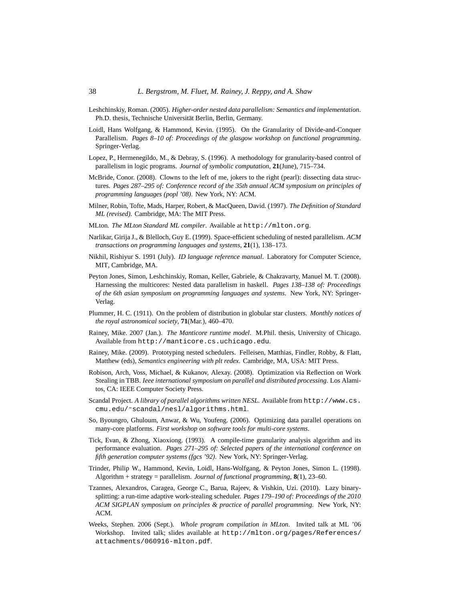- Leshchinskiy, Roman. (2005). *Higher-order nested data parallelism: Semantics and implementation*. Ph.D. thesis, Technische Universität Berlin, Berlin, Germany.
- Loidl, Hans Wolfgang, & Hammond, Kevin. (1995). On the Granularity of Divide-and-Conquer Parallelism. *Pages 8–10 of: Proceedings of the glasgow workshop on functional programming*. Springer-Verlag.
- Lopez, P., Hermenegildo, M., & Debray, S. (1996). A methodology for granularity-based control of parallelism in logic programs. *Journal of symbolic computation*, **21**(June), 715–734.
- McBride, Conor. (2008). Clowns to the left of me, jokers to the right (pearl): dissecting data structures. *Pages 287–295 of: Conference record of the 35th annual ACM symposium on principles of programming languages (popl '08)*. New York, NY: ACM.
- Milner, Robin, Tofte, Mads, Harper, Robert, & MacQueen, David. (1997). *The Definition of Standard ML (revised)*. Cambridge, MA: The MIT Press.
- MLton. *The MLton Standard ML compiler*. Available at http://mlton.org.
- Narlikar, Girija J., & Blelloch, Guy E. (1999). Space-efficient scheduling of nested parallelism. *ACM transactions on programming languages and systems*, **21**(1), 138–173.
- Nikhil, Rishiyur S. 1991 (July). *ID language reference manual*. Laboratory for Computer Science, MIT, Cambridge, MA.
- Peyton Jones, Simon, Leshchinskiy, Roman, Keller, Gabriele, & Chakravarty, Manuel M. T. (2008). Harnessing the multicores: Nested data parallelism in haskell. *Pages 138–138 of: Proceedings of the 6th asian symposium on programming languages and systems*. New York, NY: Springer-Verlag.
- Plummer, H. C. (1911). On the problem of distribution in globular star clusters. *Monthly notices of the royal astronomical society*, **71**(Mar.), 460–470.
- Rainey, Mike. 2007 (Jan.). *The Manticore runtime model*. M.Phil. thesis, University of Chicago. Available from http://manticore.cs.uchicago.edu.
- Rainey, Mike. (2009). Prototyping nested schedulers. Felleisen, Matthias, Findler, Robby, & Flatt, Matthew (eds), *Semantics engineering with plt redex*. Cambridge, MA, USA: MIT Press.
- Robison, Arch, Voss, Michael, & Kukanov, Alexay. (2008). Optimization via Reflection on Work Stealing in TBB. *Ieee international symposium on parallel and distributed processing*. Los Alamitos, CA: IEEE Computer Society Press.
- Scandal Project. *A library of parallel algorithms written NESL.* Available from http://www.cs. cmu.edu/˜scandal/nesl/algorithms.html.
- So, Byoungro, Ghuloum, Anwar, & Wu, Youfeng. (2006). Optimizing data parallel operations on many-core platforms. *First workshop on software tools for multi-core systems*.
- Tick, Evan, & Zhong, Xiaoxiong. (1993). A compile-time granularity analysis algorithm and its performance evaluation. *Pages 271–295 of: Selected papers of the international conference on fifth generation computer systems (fgcs '92)*. New York, NY: Springer-Verlag.
- Trinder, Philip W., Hammond, Kevin, Loidl, Hans-Wolfgang, & Peyton Jones, Simon L. (1998). Algorithm + strategy = parallelism. *Journal of functional programming*, **8**(1), 23–60.
- Tzannes, Alexandros, Caragea, George C., Barua, Rajeev, & Vishkin, Uzi. (2010). Lazy binarysplitting: a run-time adaptive work-stealing scheduler. *Pages 179–190 of: Proceedings of the 2010 ACM SIGPLAN symposium on principles & practice of parallel programming*. New York, NY: ACM.
- Weeks, Stephen. 2006 (Sept.). *Whole program compilation in MLton*. Invited talk at ML '06 Workshop. Invited talk; slides available at http://mlton.org/pages/References/ attachments/060916-mlton.pdf.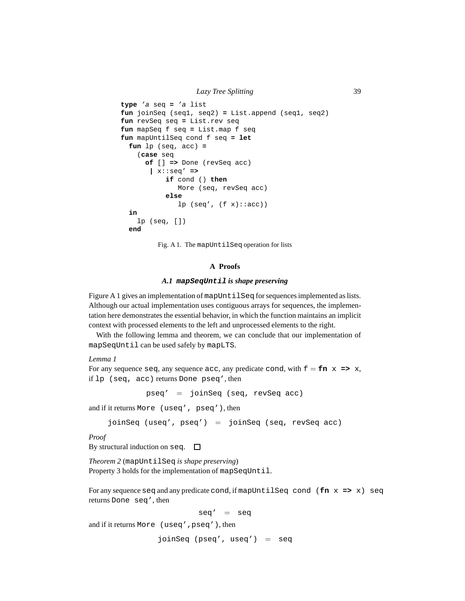```
type 'a seq = 'a list
fun joinSeq (seq1, seq2) = List.append (seq1, seq2)
fun revSeq seq = List.rev seq
fun mapSeq f seq = List.map f seq
fun mapUntilSeq cond f seq = let
  fun lp (seq, acc) =
    (case seq
      of [] => Done (revSeq acc)
       | x::seq' =>
           if cond () then
              More (seq, revSeq acc)
           else
              lp (seq', (f x) :: acc))
  in
    lp (seq, [])
  end
```
Fig. A 1. The mapUntilSeq operation for lists

# **A Proofs**

#### *A.1* **mapSeqUntil** *is shape preserving*

Figure A 1 gives an implementation of mapUntilSeq for sequences implemented as lists. Although our actual implementation uses contiguous arrays for sequences, the implementation here demonstrates the essential behavior, in which the function maintains an implicit context with processed elements to the left and unprocessed elements to the right.

With the following lemma and theorem, we can conclude that our implementation of mapSeqUntil can be used safely by mapLTS.

# *Lemma 1*

For any sequence seq, any sequence acc, any predicate cond, with  $f = fin \, x \implies x$ , if lp (seq, acc) returns Done pseq', then

pseq' = joinSeq (seq, revSeq acc)

and if it returns More (useq', pseq'), then

joinSeq (useq', pseq') = joinSeq (seq, revSeq acc)

*Proof*

By structural induction on seq.  $\square$ 

*Theorem 2* (mapUntilSeq *is shape preserving*) Property 3 holds for the implementation of mapSeqUntil.

For any sequence seq and any predicate cond, if mapUntilSeq cond (**fn** x **=>** x) seq returns Done seq', then

$$
\mathtt{seq'} \ \ = \ \ \mathtt{seq}
$$

and if it returns More (useq',pseq'), then

joinSeq (pseq', useq') = seq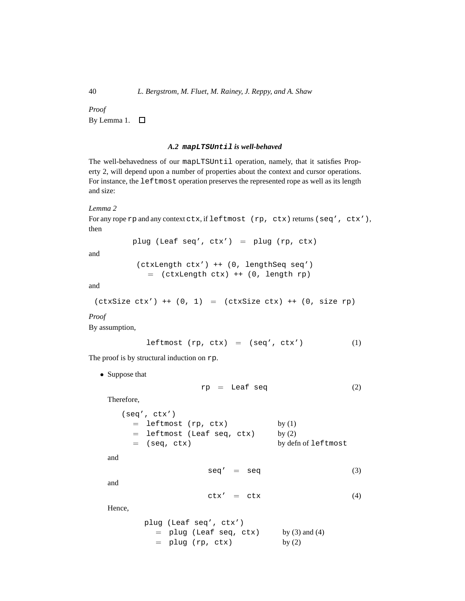*Proof* By Lemma 1.

# *A.2* **mapLTSUntil** *is well-behaved*

The well-behavedness of our mapLTSUntil operation, namely, that it satisfies Property 2, will depend upon a number of properties about the context and cursor operations. For instance, the leftmost operation preserves the represented rope as well as its length and size:

*Lemma 2*

```
For any rope rp and any context ctx, if leftmost (rp, ctx) returns (seq', ctx'),
then
```
plug (Leaf seq', ctx') = plug (rp, ctx)

and

```
(ctxLength ctx') ++ (0, lengthSeq seq')
  = (ctxLength ctx) ++ (0, length rp)
```
and

 $(\text{ctxSize ctx'})$  ++  $(0, 1)$  =  $(\text{ctxSize ctx})$  ++  $(0, \text{size rp})$ 

*Proof*

By assumption,

$$
leftmost (rp, ctx) = (seq', ctx') \qquad (1)
$$

The proof is by structural induction on  $rp$ .

• Suppose that

$$
rp = \text{Leaf seq} \tag{2}
$$

Therefore,

| (seq', ctx')                 |                     |
|------------------------------|---------------------|
| $=$ leftmost (rp, ctx)       | by $(1)$            |
| $=$ leftmost (Leaf seq, ctx) | by $(2)$            |
| $=$ (seq, ctx)               | by defn of leftmost |
|                              |                     |

and

$$
seq' = seq \qquad (3)
$$

and

$$
ctx' = ctx \t\t(4)
$$

Hence,

```
plug (Leaf seq', ctx')
  = plug (Leaf seq, ctx) by (3) and (4)
  = plug (rp, ctx) by (2)
```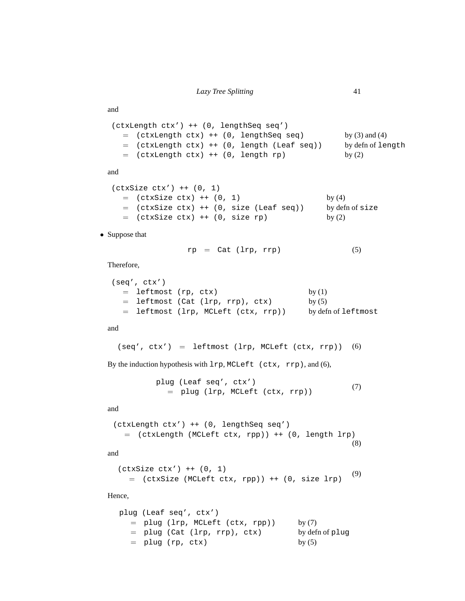```
(ctxLength ctx') ++ (0, lengthSeq seq')
  = (ctxLength ctx) ++ (0, lengthSeq seq) by (3) and (4)
  = (ctxLength ctx) ++ (0, length (Leaf seq)) by defn of length
  = (ctxLength ctx) ++ (0, length rp) by (2)
```

```
and
```
and

```
(ctxSize ctx') ++ (0, 1)
 = (ctxSize ctx) ++ (0, 1) by (4)
 = (ctxSize ctx) ++ (0, size (Leaf seq)) by defn of size
 = (ctxSize ctx) ++ (0, size rp) by (2)
```
• Suppose that

$$
rp = Cat (lrp, rrp) \qquad (5)
$$

Therefore,

```
(seq', ctx')
 = leftmost (rp, ctx) by (1)
 = leftmost (Cat (lrp, rrp), ctx) by (5)
 = leftmost (lrp, MCLeft (ctx, rrp)) by defn of leftmost
```
and

 $(\text{seq}'$ ,  $\text{ctx}'$ ) = leftmost (lrp, MCLeft ( $\text{ctx}$ , rrp)) (6)

By the induction hypothesis with lrp, MCLeft (ctx, rrp), and (6),

```
plug (Leaf seq', ctx')
  = plug (lrp, MCLeft (ctx, rrp))
                                            (7)
```
and

```
(ctxLength ctx') ++ (0, lengthSeq seq')
  = (ctxLength (MCLeft ctx, rpp)) ++ (0, length lrp)
                                                     (8)
```
and

```
(\text{ctxSize } \text{ctx}') ++ (0, 1)= (ctxSize (MCLeft ctx, rpp)) ++ (0, size lrp)
                                                              (9)
```
Hence,

```
plug (Leaf seq', ctx')
  = plug (lrp, MCLeft (ctx, rpp)) by (7)
  = plug (Cat (lrp, rrp), ctx) by defn of plug
  = plug (rp, ctx) by (5)
```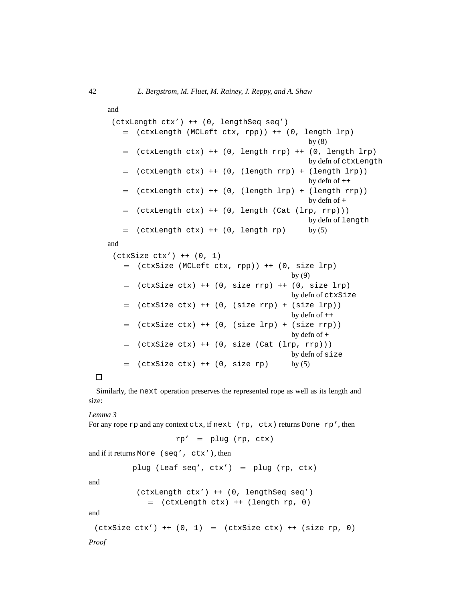```
and
 (ctxLength ctx') ++ (0, lengthSeq seq')
   = (ctxLength (MCLeft ctx, rpp)) ++ (0, length lrp)
                                               by (8)
   = (ctxLength ctx) ++ (0, length rrp) ++ (0, length lrp)
                                              by defn of ctxLength
   = (ctxLength ctx) ++ (0, (length rrp) + (length lrp))
                                               by defn of ++
   = (ctxLength ctx) ++ (0, (length lrp) + (length rrp))
                                               by defn of +
   = (ctxLength ctx) ++ (0, length (Cat (lrp, rrp)))
                                               by defn of length
   = (ctxLength ctx) ++ (0, length rp) by (5)
and
 (\texttt{ctxSize ctx'}) ++ (0, 1)= (ctxSize (MCLeft ctx, rpp)) ++ (0, size lrp)
                                           by (9)
   = (ctxSize ctx) ++ (0, size rrp) ++ (0, size lrp)
                                          by defn of ctxSize
   = (ctxSize ctx) ++ (0, (size rrp) + (size lrp))
```

```
by defn of ++
= (ctxSize ctx) ++ (0, (size lrp) + (size rrp))
                                       by defn of +
= (ctxSize ctx) ++ (0, size (Cat (lrp, rrp)))
                                       by defn of size
= (ctxSize ctx) ++ (0, size rp) by (5)
```
# $\Box$

Similarly, the next operation preserves the represented rope as well as its length and size:

#### *Lemma 3*

```
For any rope rp and any context \text{ctx}, \text{if next } (rp, \text{ctx}) \text{ returns Done } rp', \text{then}rp' = plug (rp, ctx)and if it returns More (seq', ctx'), then
           plug (Leaf seq', ctx') = plug (rp, ctx)
and
            (ctxLength ctx') ++ (0, lengthSeq seq')
               = (ctxLength ctx) ++ (length rp, 0)
and
 (ctxSize ctx') ++ (0, 1) = (ctxSize ctx) ++ (size rp, 0)Proof
```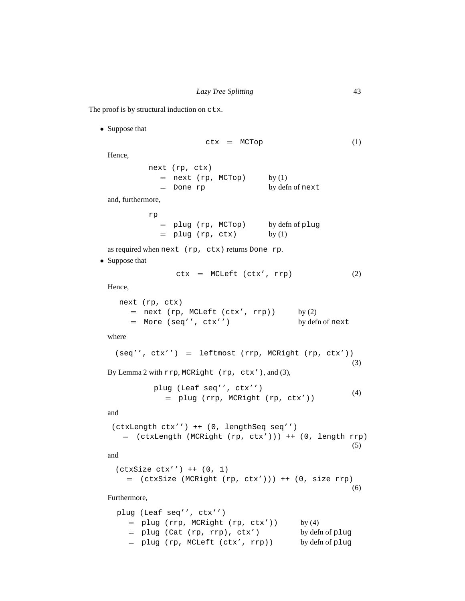The proof is by structural induction on ctx.

• Suppose that

```
ctx = MCTop (1)
 Hence,
          next (rp, ctx)
            = next (rp, MCTop) by (1)
            = Done rp by defn of next
 and, furthermore,
          rp
            = plug (rp, MCTop) by defn of plug
            = plug (rp, ctx) by (1)
 as required when next (rp, ctx) returns Done rp.
• Suppose that
               ctx = MCLeff (ctx', rrp) (2)
 Hence,
   next (rp, ctx)
      = next (rp, MCLeft (ctx', rrp)) by (2)= More (seq'', ctx'') by defn of next
 where
   (seq'', ctx'') = leftmost (rrp, MCRight (rp, ctx'))(3)
 By Lemma 2 with rrp, MCRight (rp, ctx'), and (3),
           plug (Leaf seq'', ctx'')
             = plug (rrp, MCRight (rp, ctx'))
                                                     (4)
 and
  (ctxLength ctx'') ++ (0, lengthSeq seq'')
    = (ctxLength (MCRight (rp, ctx'))) ++ (0, length rrp)
                                                     (5)
```
and

(ctxSize ctx'') ++ (0, 1)  $=$  (ctxSize (MCRight (rp, ctx'))) ++ (0, size rrp) (6)

# Furthermore,

```
plug (Leaf seq'', ctx'')
  = plug (rrp, MCRight (rp, ctx')) by (4)
  = plug (Cat (rp, rrp), ctx') by defn of plug
  = plug (rp, MCLeft (ctx', rrp)) by defn of plug
```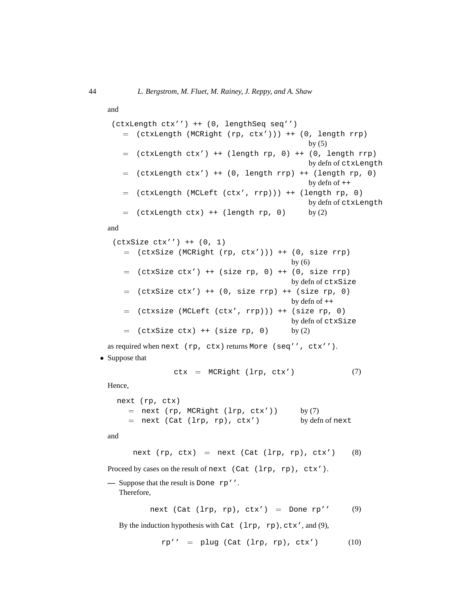```
and
```

```
(ctxLength ctx'') ++ (0, lengthSeq seq'')
  = (ctxLength (MCRight (rp, ctx'))) ++ (0, length rrp)
                                            by (5)= (ctxLength ctx') ++ (length rp, 0) ++ (0, length rrp)
                                            by defn of ctxLength
  = (ctxLength ctx') ++ (0, length rrp) ++ (length rp, 0)
                                            by defn of ++
  = (ctxLength (MCLeft (ctx', rrp))) ++ (length rp, 0)
                                            by defn of ctxLength
  = (ctxLength ctx) ++ (length rp, 0) by (2)
```
and

```
(ctxSize ctx'') ++ (0, 1)
  = (ctxSize (MCRight (rp, ctx'))) ++ (0, size rrp)
                                        by (6)= (ctxSize ctx') ++ (size rp, 0) ++ (0, size rrp)
                                        by defn of ctxSize
  = (ctxSize ctx') ++ (0, size rrp) ++ (size rp, 0)
                                        by defn of ++
  = (ctxsize (MCLeft (ctx', rrp))) ++ (size rp, 0)
                                        by defn of ctxSize
  = (ctxSize ctx) ++ (size rp, 0) by (2)
```
as required when next (rp, ctx) returns More (seq'', ctx'').

• Suppose that

$$
ctx = MCRight (lrp, ctx') \t(7)
$$

Hence,

```
next (rp, ctx)
  = next (rp, MCRight (lrp, ctx')) by (7)
  = next (Cat (lrp, rp), ctx') by defn of next
```
and

next  $(rp, ctx)$  = next  $(Cat (lrp, rp), ctx')$  (8)

Proceed by cases on the result of next (Cat (lrp, rp), ctx').

**—** Suppose that the result is Done rp''. Therefore,

next (Cat  $(lrp, rp)$ , ctx') = Done rp'' (9)

By the induction hypothesis with Cat (lrp, rp), ctx', and (9),

$$
rp''
$$
 = plug (Cat (lrp, rp), ctx') (10)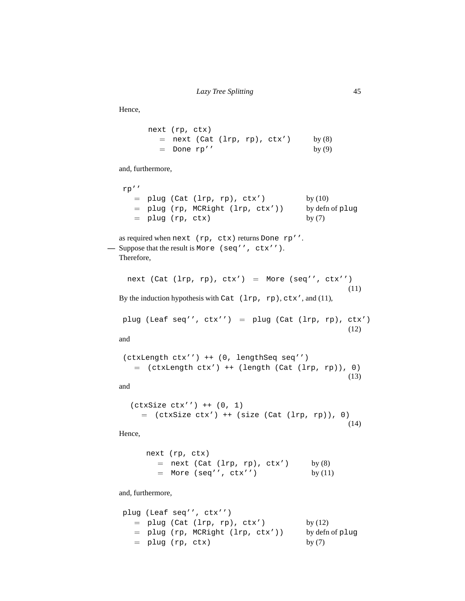Hence,

| next (rp, ctx) |                                |  |          |
|----------------|--------------------------------|--|----------|
|                | $=$ next (Cat (lrp, rp), ctx') |  | by $(8)$ |
| $=$ Done rp''  |                                |  | by $(9)$ |

and, furthermore,

```
rp''
  = plug (Cat (lrp, rp), ctx') by (10)= plug (rp, MCRight (lrp, ctx')) by defn of plug
  = plug (rp, ctx) by (7)
```

```
as required when next (rp, ctx) returns Done rp''.
— Suppose that the result is More (seq'', ctx'').
   Therefore,
```

```
next (Cat (lrp, rp), ctx') = More (seq'', ctx'')
                                                          (11)
By the induction hypothesis with Cat (lrp, rp), ctx', and (11),
```

```
plug (Leaf seq'', ctx') = plug (Cat (lrp, rp), ctx')
                                                 (12)
```
and

```
(ctxLength ctx'') ++ (0, lengthSeq seq'')
  = (ctxLength ctx') ++ (length (Cat (lrp, rp)), 0)
                                                  (13)
```
and

```
(ctxSize ctx'') ++ (0, 1)
  = (ctxSize ctx') ++ (size (Cat (lrp, rp)), 0)
                                                 (14)
```
Hence,

```
next (rp, ctx)
  = next (Cat (lrp, rp), ctx') by (8)= More (seq'', ctx'') by (11)
```
and, furthermore,

```
plug (Leaf seq'', ctx'')
  = plug (Cat (lrp, rp), ctx') by (12)= plug (rp, MCRight (lrp, ctx')) by defn of plug
  = plug (rp, ctx) by (7)
```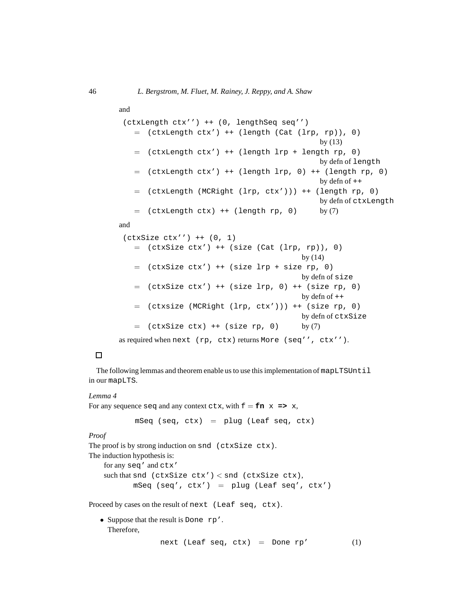```
(ctxLength ctx'') ++ (0, lengthSeq seq'')
   = (ctxLength ctx') ++ (length (Cat (lrp, rp)), 0)
                                                   by (13)
       (\text{ctxLength} ctx') ++ (\text{length} lp + \text{length} rp, 0)by defn of length
       (\text{ctxLength} ctx') ++ (\text{length} lrp, 0) ++ (\text{length} rp, 0)by defn of ++
   = (ctxLength (MCRight (lrp, ctx'))) ++ (length rp, 0)
                                                   by defn of ctxLength
   = (ctxLength ctx) ++ (length rp, 0) by (7)
and
 (ctxSize ctx'') ++ (0, 1)
```
and

```
= (ctxSize ctx') ++ (size (Cat (lrp, rp)), 0)
                                           by (14)
   = (ctxSize ctx') ++ (size lrp + size rp, 0)
                                           by defn of size
   = (ctxSize ctx') ++ (size lrp, 0) ++ (size rp, 0)
                                           by defn of ++
   = (ctxsize (MCRight (lrp, ctx'))) ++ (size rp, 0)
                                           by defn of ctxSize
   = (ctxSize ctx) ++ (size rp, 0) by (7)
as required when next (rp, ctx) returns More (seq'', ctx'').
```
# $\Box$

The following lemmas and theorem enable us to use this implementation of mapLTSUntil in our mapLTS.

#### *Lemma 4*

For any sequence seq and any context ctx, with  $f = fn \times => x$ ,

 $mSeq (seq, ctx) = plug (Leaf seq, ctx)$ 

*Proof*

The proof is by strong induction on snd (ctxSize ctx).

The induction hypothesis is:

for any seq' and ctx' such that snd (ctxSize ctx')  $\langle$  snd (ctxSize ctx), mSeq (seq',  $ctx') =$  plug (Leaf seq',  $ctx')$ 

Proceed by cases on the result of next (Leaf seq, ctx).

• Suppose that the result is Done rp'. Therefore,

next (Leaf seq,  $ctx) =$  Done  $rp'$  (1)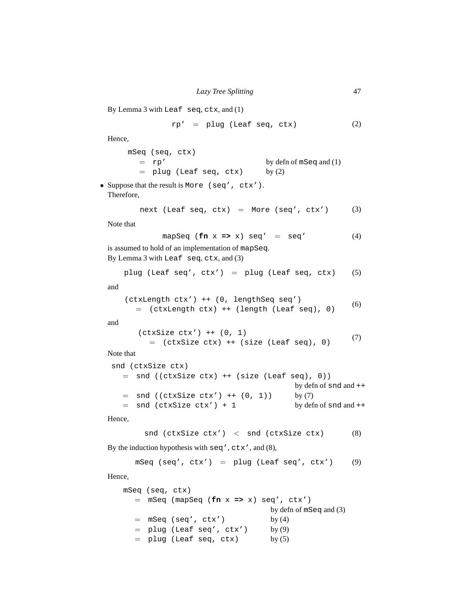```
By Lemma 3 with Leaf seq, ctx, and (1)
```

$$
rp' = plug (Leaf seq, ctx)
$$
 (2)

Hence,

mSeq (seq, ctx) = rp' by defn of mSeq and (1)  $=$  plug (Leaf seq, ctx) by  $(2)$ 

• Suppose that the result is More (seq', ctx'). Therefore,

next (Leaf seq, 
$$
ctx)
$$
 = More (seq',  $ctx')$  (3)

Note that

$$
mapSeq (fn x => x) seq' = seq'
$$
 (4)

is assumed to hold of an implementation of mapSeq. By Lemma 3 with Leaf seq, ctx, and (3)

```
plug (Leaf seq', ctx') = plug (Leaf seq, ctx) (5)
```
and

```
(ctxLength ctx') ++ (0, lengthSeq seq')
  = (ctxLength ctx) ++ (length (Leaf seq), 0)
                                                   (6)
```
and

```
(\texttt{ctxSize ctx'}) ++ (0, 1)= (ctxSize ctx) ++ (size (Leaf seq), 0)
                                                      (7)
```
Note that

```
snd (ctxSize ctx)
  = snd ((ctxSize ctx) ++ (size (Leaf seq), 0))
                                       by defn of snd and ++
  = snd ((ctxSize ctx') ++ (0, 1)) by (7)
  = snd (ctxSize ctx') + 1 by defn of snd and ++
```
Hence,

snd (ctxSize ctx')  $\langle$  snd (ctxSize ctx)  $(8)$ 

By the induction hypothesis with seq', ctx', and (8),

mSeq (seq',  $ctx'$ ) = plug (Leaf seq',  $ctx'$ ) (9)

Hence,

```
mSeq (seq, ctx)
  = mSeq (mapSeq (fn x => x) seq', ctx')
                              by defn of mSeq and (3)
  = mSeq (seq', ctx') by (4)
  = plug (Leaf seq', ctx') by (9)= plug (Leaf seq, ctx) by (5)
```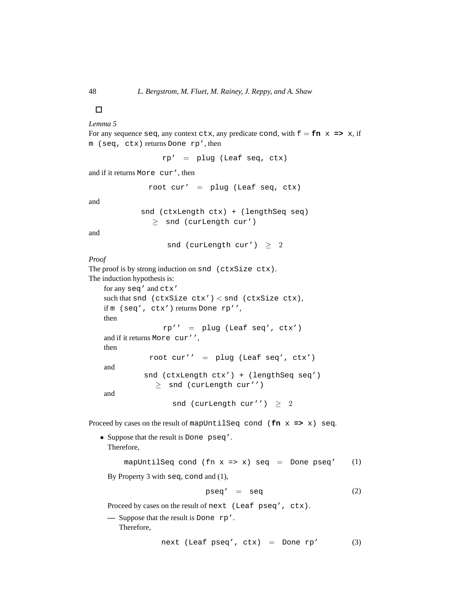# $\Box$

*Lemma 5*

For any sequence seq, any context ctx, any predicate cond, with  $f = fin x \implies x$ , if m (seq, ctx) returns Done rp', then

rp' = plug (Leaf seq, ctx)

and if it returns More cur', then

root cur' =  $plug$  (Leaf seq, ctx)

and

```
snd (ctxLength ctx) + (lengthSeq seq)
  \geq snd (curLength cur')
```
and

snd (curLength cur')  $\geq 2$ 

*Proof*

The proof is by strong induction on snd (ctxSize ctx). The induction hypothesis is:

```
for any seq' and ctx'
such that snd (ctxSize ctx') < snd (ctxSize ctx),
if m (seq', ctx') returns Done rp'',
then
              rp'' = plug (Leaf seq', ctx')
and if it returns More cur'',
then
           root cur'' = plug (Leaf seq', ctx')
and
          snd (ctxLength ctx') + (lengthSeq seq')
            \geq snd (curLength cur'')
```
and

snd (curLength cur'')  $\geq 2$ 

Proceed by cases on the result of mapUntilSeq cond (**fn** x **=>** x) seq.

• Suppose that the result is Done pseq'. Therefore,

mapUntilSeq cond (fn  $x \Rightarrow x$ ) seq = Done pseq' (1)

By Property 3 with seq, cond and (1),

$$
pseq' = seq \qquad (2)
$$

Proceed by cases on the result of next (Leaf pseq', ctx).

**—** Suppose that the result is Done rp'. Therefore,

```
next (Leaf pseq', ctx) = Done rp' (3)
```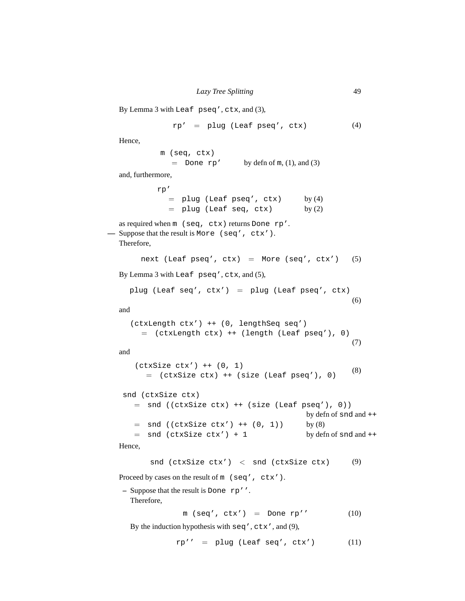```
By Lemma 3 with Leaf pseq', ctx, and (3),
               rp' = plug (Leaf pseq', ctx) (4)
  Hence,
            m (seq, ctx)
              = Done rp' by defn of m, (1), and (3)
  and, furthermore,
           rp'
              = plug (Leaf pseq', ctx) by (4)= plug (Leaf seq, ctx) by (2)as required when m (seq, ctx) returns Done rp'.
— Suppose that the result is More (seq', ctx').
  Therefore,
       next (Leaf pseq', ctx) = More (seq', ctx') (5)
  By Lemma 3 with Leaf pseq', ctx, and (5),
     plug (Leaf seq', ctx') = plug (Leaf pseq', ctx)(6)
  and
     (ctxLength ctx') ++ (0, lengthSeq seq')
       = (ctxLength ctx) ++ (length (Leaf pseq'), 0)
                                                         (7)
  and
      (ctxSize ctx') ++ (0, 1)
         = (ctxSize ctx) ++ (size (Leaf pseq'), 0)
                                                         (8)
   snd (ctxSize ctx)
      = snd ((ctxSize ctx) ++ (size (Leaf pseq'), 0))
                                              by defn of snd and ++
      = snd ((ctxSize ctx') ++ (0, 1)) by (8)= snd (ctxSize ctx') + 1 by defn of snd and ++
  Hence,
          snd (ctxSize ctx') \langle snd (ctxSize ctx) (9)
  Proceed by cases on the result of m (seq', ctx').
   – Suppose that the result is Done rp''.
     Therefore,
                 m (seq', ctx') = Done rp' (10)
```
By the induction hypothesis with seq', ctx', and (9),

 $rp'$  = plug (Leaf seq', ctx') (11)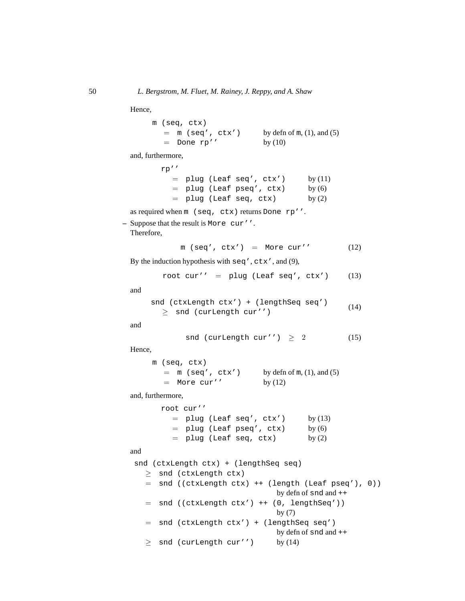Hence,

m (seq, ctx)  $=$  m (seq', ctx') by defn of m, (1), and (5)  $=$  Done rp'' by  $(10)$ 

and, furthermore,

| rp' |  |                              |           |
|-----|--|------------------------------|-----------|
|     |  | $=$ plug (Leaf seq', $ctx')$ | by $(11)$ |
|     |  | $=$ plug (Leaf pseq', ctx)   | by $(6)$  |
|     |  | $=$ plug (Leaf seq, ctx)     | by $(2)$  |

as required when m (seq, ctx) returns Done rp''.

**–** Suppose that the result is More cur''.

Therefore,

$$
m (seq', ctx') = More cur'
$$
 (12)

By the induction hypothesis with seq', ctx', and (9),

$$
root cur'
$$
 = plug (Leaf seq',  $ctx')$  (13)

and

snd (ctxLength ctx') + (lengthSeq seq')  $\geq$  snd (curLength cur'') (14)

and

$$
\text{snd (curLength cur'') } \geq 2 \tag{15}
$$

Hence,

m (seq, ctx)  $=$  m (seq', ctx') by defn of m, (1), and (5)  $=$  More cur'' by  $(12)$ 

and, furthermore,

root cur''  $=$  plug (Leaf seq', ctx') by  $(13)$  $=$  plug (Leaf pseq', ctx) by  $(6)$  $=$  plug (Leaf seq, ctx) by  $(2)$ 

and

```
snd (ctxLength ctx) + (lengthSeq seq)
  ≥ snd (ctxLength ctx)
  = snd ((ctxLength ctx) ++ (length (Leaf pseq'), 0))
                                 by defn of snd and ++
  = snd ((ctxLength ctx') ++ (0, lengthSeq'))
                                 by (7)
  = snd (ctxLength ctx') + (lengthSeq seq')
                                 by defn of snd and ++
  \geq snd (curLength cur'') by (14)
```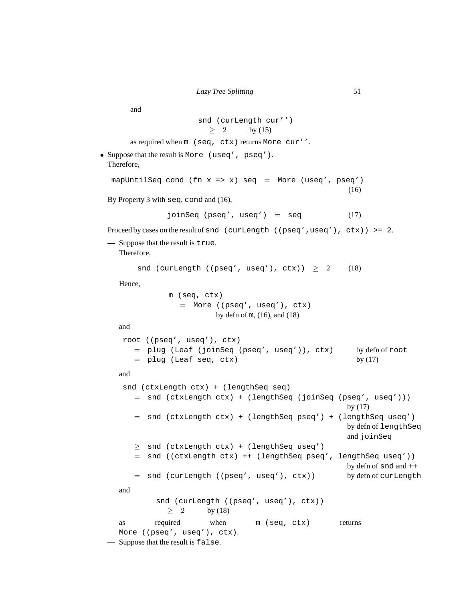and

snd (curLength cur'')  $> 2$  by (15)

as required when m (seq, ctx) returns More cur''.

• Suppose that the result is More (useq', pseq'). Therefore,

```
mapUntilSeq cond (fn x \Rightarrow x) seq = More (useq', pseq')
                                                            (16)
```
By Property 3 with seq, cond and (16),

joinSeq (pseq', useq') =  $seq$  (17)

Proceed by cases on the result of snd (curLength ((pseq',useq'),  $ctx$ )) >= 2.

```
— Suppose that the result is true.
```
Therefore,

snd (curLength ((pseq', useq'), ctx))  $\geq 2$  (18)

Hence,

m (seq, ctx)  $=$  More ((pseq', useq'),  $ctx)$ by defn of m, (16), and (18)

and

```
root ((pseq', useq'), ctx)
  = plug (Leaf (joinSeq (pseq', useq')), ctx) by defn of root
  = plug (Leaf seq, ctx) by (17)
```
and

```
snd (ctxLength ctx) + (lengthSeq seq)
   = snd (ctxLength ctx) + (lengthSeq (joinSeq (pseq', useq')))
                                                  by (17)
   = snd (ctxLength ctx) + (lengthSeq pseq') + (lengthSeq useq')
                                                  by defn of lengthSeq
                                                  and joinSeq
   \geq snd (ctxLength ctx) + (lengthSeq useq')
   = snd ((ctxLength ctx) ++ (lengthSeq pseq', lengthSeq useq'))
                                                  by defn of snd and ++
   = snd (curLength ((pseq', useq'), ctx)) by defn of curLength
and
        snd (curLength ((pseq', useq'), ctx))
          \geq 2 by (18)
as required when m (seq, ctx) returns
More ((pseq', useq'), ctx).
```
**—** Suppose that the result is false.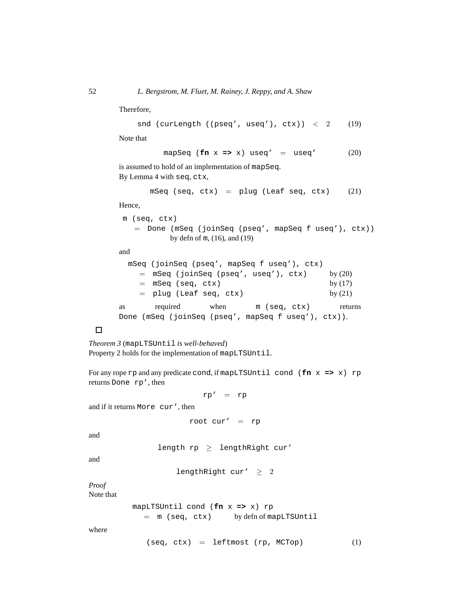Therefore,

snd (curLength ((pseq', useq'),  $ctx$ )) < 2 (19)

Note that

mapSeq ( $\textbf{fn} \times \textbf{=} \times \textbf{x}$ ) useq' = useq' (20)

is assumed to hold of an implementation of mapSeq. By Lemma 4 with seq, ctx,

```
mSeq (seq, ctx) = plug (Leaf seq, ctx) (21)
```
Hence,

```
m (seq, ctx)
  = Done (mSeq (joinSeq (pseq', mapSeq f useq'), ctx))
           by defn of m, (16), and (19)
```
and

|    | mSeq (joinSeq (pseq', mapSeq f useq'), ctx)         |      |              |           |
|----|-----------------------------------------------------|------|--------------|-----------|
|    | $=$ mSeq (joinSeq (pseq', useq'), $ctx)$            |      |              | by $(20)$ |
|    | $=$ mSeq (seq, ctx)                                 |      |              | by $(17)$ |
|    | $=$ plug (Leaf seq, ctx)                            |      |              | by $(21)$ |
| as | required                                            | when | m (seq, ctx) | returns   |
|    | Done (mSeq (joinSeq (pseq', mapSeq f useq'), ctx)). |      |              |           |

# $\Box$

*Theorem 3* (mapLTSUntil *is well-behaved*) Property 2 holds for the implementation of mapLTSUntil.

For any rope rp and any predicate cond, if mapLTSUntil cond (**fn** x **=>** x) rp returns Done rp', then

 $rp' = rp$ 

and if it returns More cur', then

root cur' =  $rp$ 

and

```
length rp \geq lengthRight cur'
```
and

lengthRight cur'  $\geq 2$ 

*Proof* Note that

mapLTSUntil cond (**fn** x **=>** x) rp

= m (seq, ctx) by defn of mapLTSUntil

where

 $(\text{seq}, \text{ctx}) = \text{leftmost} (\text{rp}, \text{MCTop})$  (1)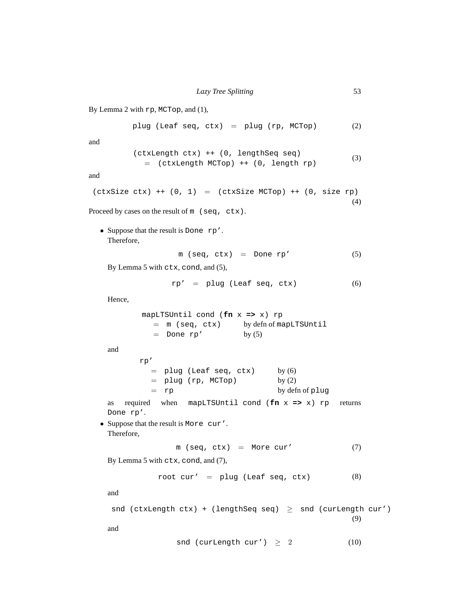By Lemma 2 with rp, MCTop, and (1), plug (Leaf seq,  $ctx) =$  plug (rp, MCTop)  $(2)$ and (ctxLength ctx) ++ (0, lengthSeq seq)  $=$  (ctxLength MCTop) ++ (0, length  $rp$ ) (3) and  $(\text{ctxSize ctx})$  ++  $(0, 1)$  =  $(\text{ctxSize MCTop})$  ++  $(0, \text{size rp})$ (4) Proceed by cases on the result of m (seq, ctx). • Suppose that the result is Done rp'. Therefore,  $m$  (seq, ctx) = Done rp'  $(5)$ By Lemma 5 with ctx, cond, and (5),  $rp' = plug (Leaf seq, ctx)$  (6) Hence, mapLTSUntil cond (**fn** x **=>** x) rp = m (seq, ctx) by defn of mapLTSUntil  $=$  Done rp' by  $(5)$ and rp'  $=$  plug (Leaf seq, ctx) by  $(6)$  $=$  plug (rp, MCTop) by  $(2)$ = rp by defn of plug as required when mapLTSUntil cond (**fn** x **=>** x) rp returns Done rp'. • Suppose that the result is More cur'. Therefore,  $m (seq, ctx) = More cur'$  (7) By Lemma 5 with ctx, cond, and (7), root cur' =  $\nu$ lug (Leaf seq, ctx) (8) and snd (ctxLength ctx) + (lengthSeq seq)  $\geq$  snd (curLength cur') (9) and snd (curLength cur')  $\geq 2$  (10)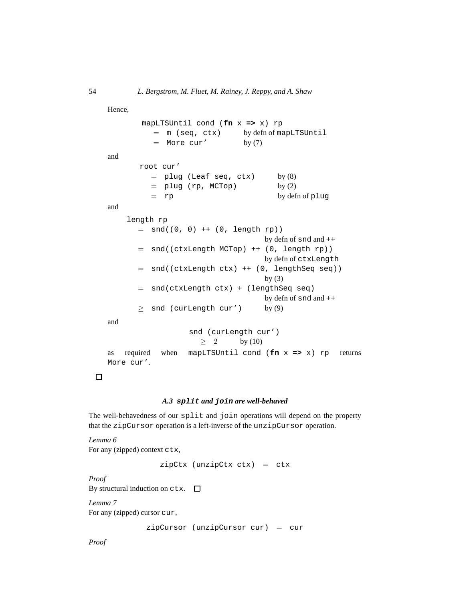Hence,

```
mapLTSUntil cond (fn x => x) rp
         = m (seq, ctx) by defn of mapLTSUntil
         = More cur' by (7)
and
      root cur'
         = plug (Leaf seq, ctx) by (8)= plug (rp, MCTop) by (2)= rp by defn of plug
and
    length rp
      = snd((0, 0) ++ (0, length rp))
                                  by defn of snd and ++
      = snd((ctxLength MCTop) ++ (0, length rp))
                                  by defn of ctxLength
      = snd((ctxLength ctx) ++ (0, lengthSeq seq))
                                  by (3)= snd(ctxLength ctx) + (lengthSeq seq)
                                  by defn of snd and ++
      \geq snd (curLength cur') by (9)
and
                 snd (curLength cur')
                    \geq 2 by (10)
as required when mapLTSUntil cond (fn x => x) rp returns
More cur'.
```
# $\Box$

# *A.3* **split** *and* **join** *are well-behaved*

The well-behavedness of our split and join operations will depend on the property that the zipCursor operation is a left-inverse of the unzipCursor operation.

*Lemma 6* For any (zipped) context ctx,

 $zipCtx$  (unzipCtx  $ctx) = ctx$ 

*Proof*

By structural induction on  $ctx$ .  $\square$ 

*Lemma 7*

For any (zipped) cursor cur,

zipCursor (unzipCursor cur) = cur

*Proof*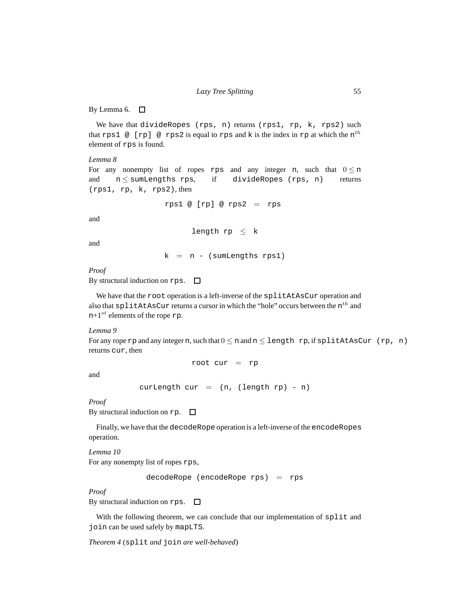By Lemma 6.  $\Box$ 

We have that divideRopes (rps, n) returns (rps1, rp, k, rps2) such that rps1  $@[rp] @ rps2$  is equal to rps and k is the index in rp at which the  $n^{th}$ element of rps is found.

#### *Lemma 8*

For any nonempty list of ropes rps and any integer n, such that  $0 \le n$ and  $n \le$  sumLengths rps, if divideRopes (rps, n) returns (rps1, rp, k, rps2), then

```
rps1 \ @ [rp] \ @ \ rps2 = rps
```
and

length  $rp \leq k$ 

and

 $k = n - (sumLengths rps1)$ 

*Proof*

By structural induction on rps.  $\Box$ 

We have that the root operation is a left-inverse of the splitAtAsCur operation and also that  $\texttt{splitAtASCur}$  returns a cursor in which the "hole" occurs between the  $\text{n}^{th}$  and  $n+1$ <sup>st</sup> elements of the rope rp.

*Lemma 9*

For any rope rp and any integer n, such that  $0 \le n$  and  $n \le \text{length}$  rp, if splitAtAsCur (rp, n) returns cur, then

root cur = rp

and

curLength cur =  $(n, (length rp) - n)$ 

*Proof*

By structural induction on  $rp.$   $\Box$ 

Finally, we have that the decodeRope operation is a left-inverse of the encodeRopes operation.

*Lemma 10*

For any nonempty list of ropes rps,

decodeRope (encodeRope rps) = rps

*Proof*

By structural induction on rps.  $\Box$ 

With the following theorem, we can conclude that our implementation of split and join can be used safely by mapLTS.

*Theorem 4* (split *and* join *are well-behaved*)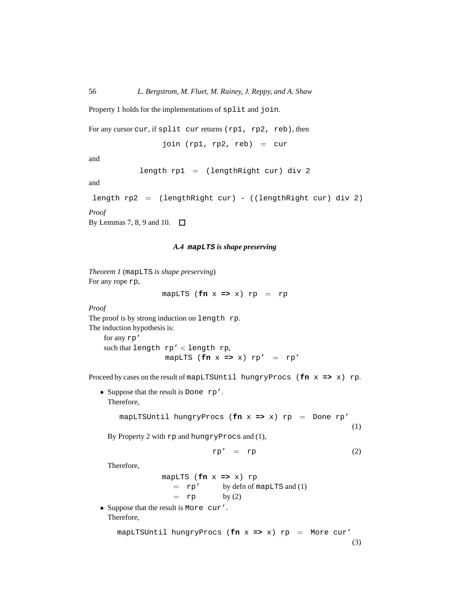Property 1 holds for the implementations of split and join.

```
For any cursor cur, if split cur returns (rp1, rp2, reb), then
```
join  $(rp1, rp2, reb) = cur$ 

and

```
length rp1 = (lengthRight curl) div 2
```
and

```
length rp2 = (lengthRight cur) - ((lengthRight cur) div 2)
```
*Proof*

By Lemmas 7, 8, 9 and 10.  $\Box$ 

# *A.4* **mapLTS** *is shape preserving*

*Theorem 1* (mapLTS *is shape preserving*) For any rope rp,

mapLTS ( $fn$   $x$   $\Rightarrow$   $x$ )  $rp$   $=$   $rp$ 

*Proof*

The proof is by strong induction on length rp. The induction hypothesis is:

```
for any rp'
such that length rp' < length rp,
                       mapLTS (\mathbf{fn} \times \mathbf{p} \times \mathbf{p}' = \mathbf{rp}'
```
Proceed by cases on the result of mapLTSUntil hungryProcs (**fn** x **=>** x) rp.

• Suppose that the result is Done rp'. Therefore,

> mapLTSUntil hungryProcs (**fn** x **=>** x) rp = Done rp' (1)

By Property 2 with rp and hungryProcs and (1),

$$
rp' = rp
$$
 (2)

Therefore,

mapLTS (**fn** x **=>** x) rp  $=$  rp' by defn of mapLTS and (1)  $=$  rp by (2)

• Suppose that the result is More cur'. Therefore,

> mapLTSUntil hungryProcs (**fn** x **=>** x) rp = More cur' (3)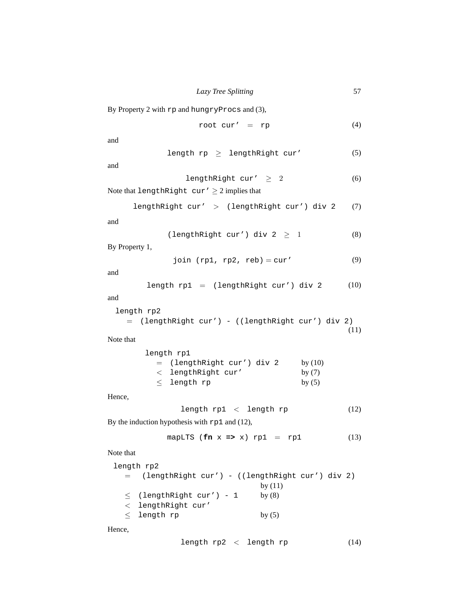By Property 2 with rp and hungryProcs and (3),

$$
\text{root cur'} = \text{rp} \tag{4}
$$

and

$$
length rp \ge lengthRight cur'
$$
 (5)

and

$$
lengthRight cur' \geq 2 \qquad (6)
$$

Note that lengthRight  $cur' \geq 2$  implies that

lengthRight cur' > (lengthRight cur') div 2 (7)

and

```
(lengthRight cur') div 2 \geq 1 (8)
```
By Property 1,

join  $(rp1, rp2, reb) = cur'$  (9)

and

$$
length rp1 = (lengthRight cur') div 2
$$
 (10)

and

```
length rp2
  = (lengthRight cur') - ((lengthRight cur') div 2)
                                                    (11)
```
Note that

| length rp1                   |           |
|------------------------------|-----------|
| $=$ (lengthRight cur') div 2 | by $(10)$ |
| $\langle$ lengthRight cur'   | by $(7)$  |
| $\le$ length rp              | by $(5)$  |

Hence,

$$
length rp1 < length rp
$$
\n
$$
(12)
$$

By the induction hypothesis with rp1 and (12),

$$
mapLTS (fn x => x) rp1 = rp1
$$
 (13)

Note that

| length rp2                                        |           |  |
|---------------------------------------------------|-----------|--|
| = (lengthRight cur') - ((lengthRight cur') div 2) |           |  |
|                                                   | by $(11)$ |  |
| $\langle$ (lengthRight cur') - 1                  | by $(8)$  |  |
| $\langle$ lengthRight cur'                        |           |  |
| $<$ length rp                                     | by $(5)$  |  |

Hence,

length  $rp2 <$  length  $rp$  (14)